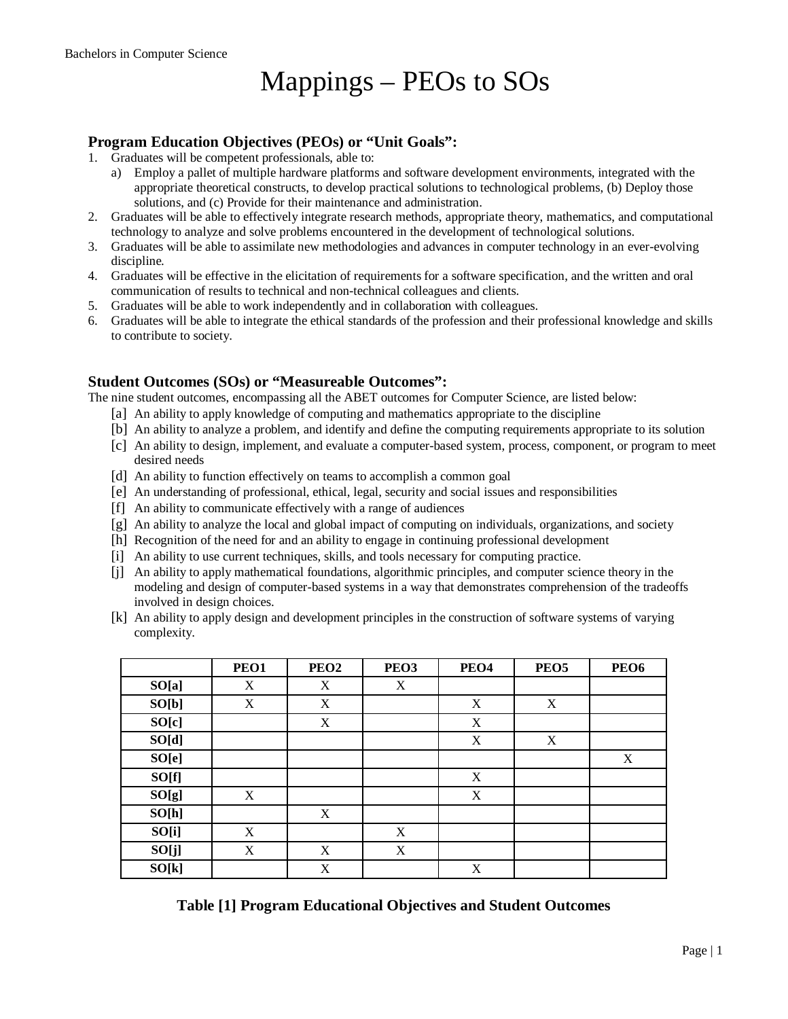# Mappings – PEOs to SOs

#### **Program Education Objectives (PEOs) or "Unit Goals":**

- 1. Graduates will be competent professionals, able to:
	- a) Employ a pallet of multiple hardware platforms and software development environments, integrated with the appropriate theoretical constructs, to develop practical solutions to technological problems, (b) Deploy those solutions, and (c) Provide for their maintenance and administration.
- 2. Graduates will be able to effectively integrate research methods, appropriate theory, mathematics, and computational technology to analyze and solve problems encountered in the development of technological solutions.
- 3. Graduates will be able to assimilate new methodologies and advances in computer technology in an ever-evolving discipline.
- 4. Graduates will be effective in the elicitation of requirements for a software specification, and the written and oral communication of results to technical and non-technical colleagues and clients.
- 5. Graduates will be able to work independently and in collaboration with colleagues.
- 6. Graduates will be able to integrate the ethical standards of the profession and their professional knowledge and skills to contribute to society.

#### **Student Outcomes (SOs) or "Measureable Outcomes":**

The nine student outcomes, encompassing all the ABET outcomes for Computer Science, are listed below:

- [a] An ability to apply knowledge of computing and mathematics appropriate to the discipline
- [b] An ability to analyze a problem, and identify and define the computing requirements appropriate to its solution
- [c] An ability to design, implement, and evaluate a computer-based system, process, component, or program to meet desired needs
- [d] An ability to function effectively on teams to accomplish a common goal
- [e] An understanding of professional, ethical, legal, security and social issues and responsibilities
- [f] An ability to communicate effectively with a range of audiences
- [g] An ability to analyze the local and global impact of computing on individuals, organizations, and society
- [h] Recognition of the need for and an ability to engage in continuing professional development
- [i] An ability to use current techniques, skills, and tools necessary for computing practice.
- [j] An ability to apply mathematical foundations, algorithmic principles, and computer science theory in the modeling and design of computer-based systems in a way that demonstrates comprehension of the tradeoffs involved in design choices.
- [k] An ability to apply design and development principles in the construction of software systems of varying complexity.

|       | PEO1             | PEO <sub>2</sub> | PEO <sub>3</sub> | PEO <sub>4</sub> | PEO <sub>5</sub> | PEO <sub>6</sub> |
|-------|------------------|------------------|------------------|------------------|------------------|------------------|
| SO[a] | X                | X                | X                |                  |                  |                  |
| SO[b] | $\boldsymbol{X}$ | X                |                  | X                | X                |                  |
| SO[c] |                  | X                |                  | X                |                  |                  |
| SO[d] |                  |                  |                  | X                | X                |                  |
| SO[e] |                  |                  |                  |                  |                  | X                |
| SO[f] |                  |                  |                  | X                |                  |                  |
| SO[g] | X                |                  |                  | X                |                  |                  |
| SO[h] |                  | X                |                  |                  |                  |                  |
| SO[i] | X                |                  | X                |                  |                  |                  |
| SO[j] | X                | X                | X                |                  |                  |                  |
| SO[k] |                  | X                |                  | X                |                  |                  |

**Table [1] Program Educational Objectives and Student Outcomes**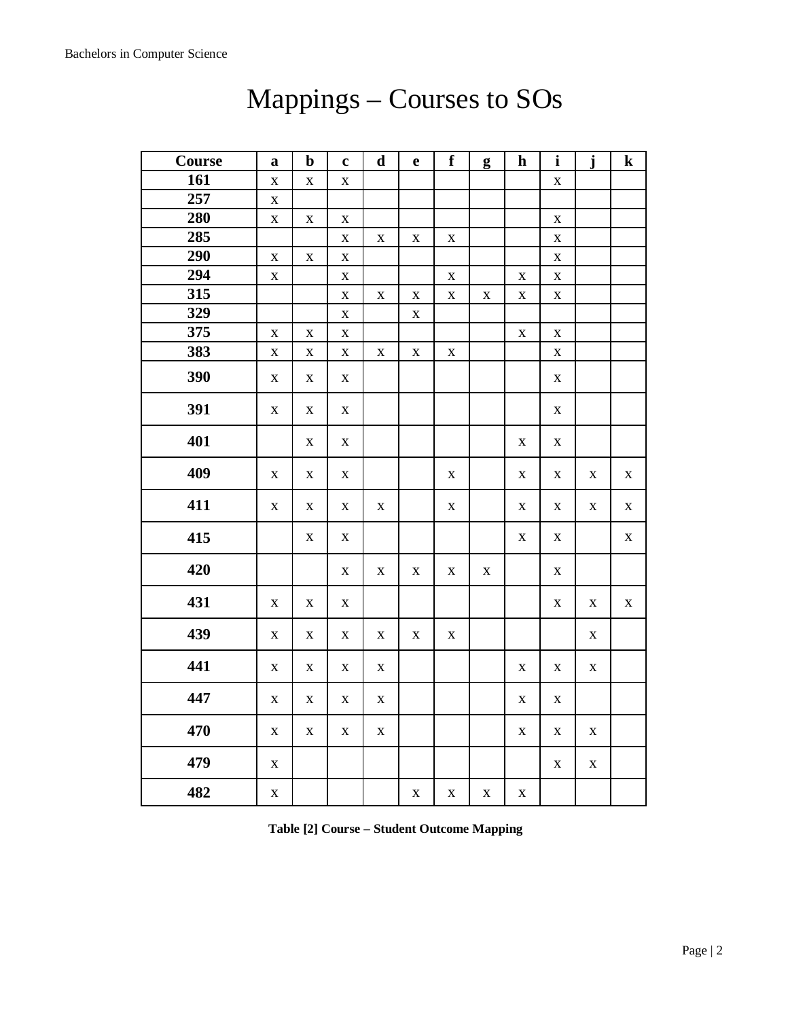| Course | $\mathbf a$             | $\mathbf b$ | $\mathbf c$ | $\mathbf d$ | $\mathbf e$ | $\mathbf f$ | g           | $\mathbf h$ | $\mathbf{i}$ | $\mathbf{j}$ | ${\bf k}$   |
|--------|-------------------------|-------------|-------------|-------------|-------------|-------------|-------------|-------------|--------------|--------------|-------------|
| 161    | $\mathbf X$             | $\mathbf X$ | $\mathbf X$ |             |             |             |             |             | $\mathbf X$  |              |             |
| 257    | $\mathbf X$             |             |             |             |             |             |             |             |              |              |             |
| 280    | $\mathbf X$             | $\mathbf X$ | $\mathbf X$ |             |             |             |             |             | $\mathbf X$  |              |             |
| 285    |                         |             | $\mathbf X$ | $\mathbf X$ | $\mathbf X$ | $\mathbf X$ |             |             | $\mathbf X$  |              |             |
| 290    | $\mathbf X$             | $\mathbf X$ | $\mathbf X$ |             |             |             |             |             | $\mathbf X$  |              |             |
| 294    | $\mathbf X$             |             | $\mathbf X$ |             |             | $\mathbf X$ |             | $\mathbf X$ | $\mathbf X$  |              |             |
| 315    |                         |             | $\mathbf X$ | $\mathbf X$ | $\mathbf X$ | $\mathbf X$ | $\mathbf X$ | $\mathbf X$ | $\mathbf X$  |              |             |
| 329    |                         |             | $\mathbf X$ |             | $\mathbf X$ |             |             |             |              |              |             |
| 375    | $\overline{\mathbf{X}}$ | $\mathbf X$ | $\mathbf X$ |             |             |             |             | $\bf{X}$    | $\mathbf X$  |              |             |
| 383    | $\mathbf X$             | $\mathbf X$ | $\mathbf X$ | $\mathbf X$ | $\mathbf X$ | $\mathbf X$ |             |             | $\mathbf X$  |              |             |
| 390    | X                       | $\mathbf X$ | $\mathbf X$ |             |             |             |             |             | $\mathbf X$  |              |             |
| 391    | $\mathbf X$             | $\mathbf X$ | X           |             |             |             |             |             | $\mathbf X$  |              |             |
| 401    |                         | $\mathbf X$ | $\mathbf X$ |             |             |             |             | X           | $\mathbf X$  |              |             |
| 409    | X                       | $\mathbf X$ | $\mathbf X$ |             |             | $\mathbf X$ |             | X           | $\mathbf X$  | $\mathbf X$  | $\mathbf X$ |
| 411    | $\mathbf X$             | $\mathbf X$ | $\mathbf X$ | $\mathbf X$ |             | $\mathbf X$ |             | $\mathbf X$ | $\mathbf X$  | $\mathbf X$  | $\mathbf X$ |
| 415    |                         | $\mathbf X$ | $\mathbf X$ |             |             |             |             | $\mathbf X$ | $\mathbf X$  |              | $\mathbf X$ |
| 420    |                         |             | $\mathbf X$ | $\mathbf X$ | $\mathbf X$ | $\mathbf X$ | $\mathbf X$ |             | $\mathbf X$  |              |             |
| 431    | $\mathbf X$             | $\mathbf X$ | $\mathbf X$ |             |             |             |             |             | $\mathbf X$  | $\mathbf X$  | $\mathbf X$ |
| 439    | $\mathbf X$             | $\mathbf X$ | $\mathbf X$ | $\mathbf X$ | $\mathbf X$ | $\mathbf X$ |             |             |              | $\mathbf X$  |             |
| 441    | $\mathbf X$             | $\mathbf X$ | $\mathbf X$ | $\mathbf X$ |             |             |             | X           | $\mathbf X$  | X            |             |
| 447    | $\mathbf X$             | $\mathbf X$ | X           | $\mathbf X$ |             |             |             | $\mathbf X$ | $\mathbf X$  |              |             |
| 470    | $\mathbf X$             | $\mathbf X$ | $\mathbf X$ | $\mathbf X$ |             |             |             | $\mathbf X$ | $\mathbf X$  | X            |             |
| 479    | $\mathbf X$             |             |             |             |             |             |             |             | $\mathbf X$  | $\mathbf X$  |             |
| 482    | $\mathbf X$             |             |             |             | $\mathbf X$ | $\mathbf X$ | $\mathbf X$ | $\mathbf X$ |              |              |             |

## Mappings – Courses to SOs

**Table [2] Course – Student Outcome Mapping**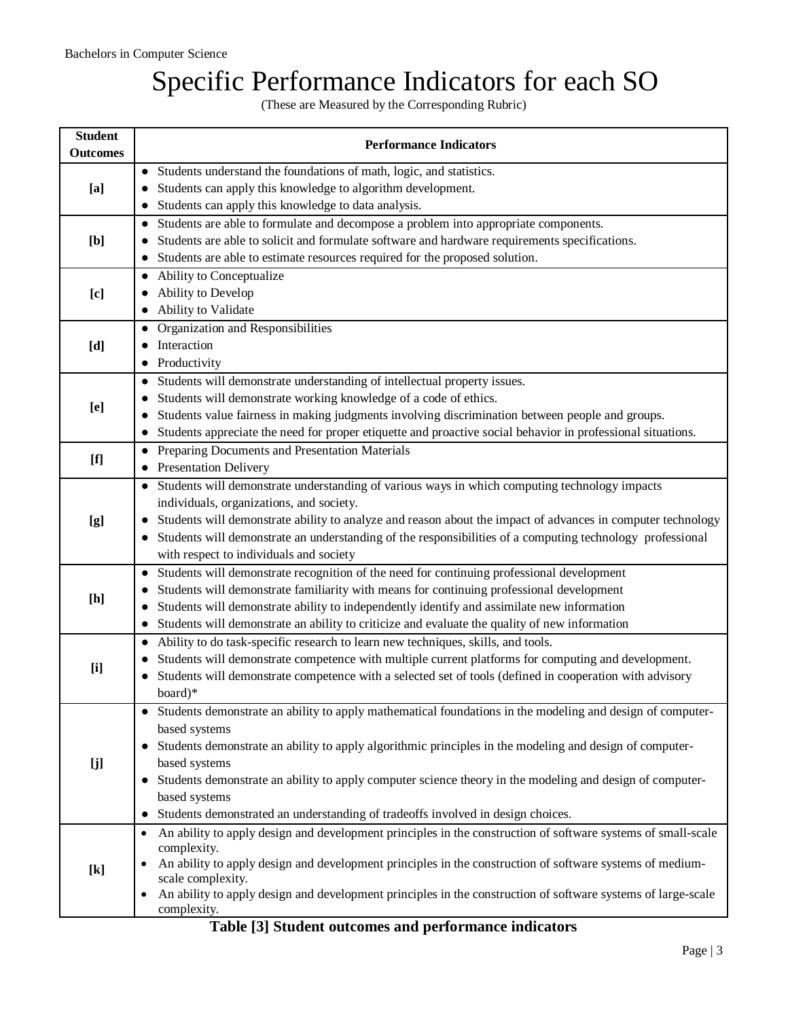## Specific Performance Indicators for each SO

(These are Measured by the Corresponding Rubric)

| <b>Student</b><br><b>Outcomes</b>                                                                                                                                                                                                                                                                                                                                                                                                                                                                                                                                                                        | <b>Performance Indicators</b>                                                                                          |
|----------------------------------------------------------------------------------------------------------------------------------------------------------------------------------------------------------------------------------------------------------------------------------------------------------------------------------------------------------------------------------------------------------------------------------------------------------------------------------------------------------------------------------------------------------------------------------------------------------|------------------------------------------------------------------------------------------------------------------------|
|                                                                                                                                                                                                                                                                                                                                                                                                                                                                                                                                                                                                          | Students understand the foundations of math, logic, and statistics.<br>$\bullet$                                       |
| [a]                                                                                                                                                                                                                                                                                                                                                                                                                                                                                                                                                                                                      | Students can apply this knowledge to algorithm development.                                                            |
|                                                                                                                                                                                                                                                                                                                                                                                                                                                                                                                                                                                                          | Students can apply this knowledge to data analysis.                                                                    |
|                                                                                                                                                                                                                                                                                                                                                                                                                                                                                                                                                                                                          | • Students are able to formulate and decompose a problem into appropriate components.                                  |
| [b]                                                                                                                                                                                                                                                                                                                                                                                                                                                                                                                                                                                                      | Students are able to solicit and formulate software and hardware requirements specifications.                          |
|                                                                                                                                                                                                                                                                                                                                                                                                                                                                                                                                                                                                          | Students are able to estimate resources required for the proposed solution.                                            |
|                                                                                                                                                                                                                                                                                                                                                                                                                                                                                                                                                                                                          | • Ability to Conceptualize                                                                                             |
| [c]                                                                                                                                                                                                                                                                                                                                                                                                                                                                                                                                                                                                      | Ability to Develop                                                                                                     |
|                                                                                                                                                                                                                                                                                                                                                                                                                                                                                                                                                                                                          | Ability to Validate                                                                                                    |
|                                                                                                                                                                                                                                                                                                                                                                                                                                                                                                                                                                                                          | Organization and Responsibilities<br>$\bullet$                                                                         |
| [d]                                                                                                                                                                                                                                                                                                                                                                                                                                                                                                                                                                                                      | Interaction                                                                                                            |
|                                                                                                                                                                                                                                                                                                                                                                                                                                                                                                                                                                                                          | Productivity                                                                                                           |
|                                                                                                                                                                                                                                                                                                                                                                                                                                                                                                                                                                                                          | Students will demonstrate understanding of intellectual property issues.<br>$\bullet$                                  |
| [e]                                                                                                                                                                                                                                                                                                                                                                                                                                                                                                                                                                                                      | Students will demonstrate working knowledge of a code of ethics.<br>$\bullet$                                          |
|                                                                                                                                                                                                                                                                                                                                                                                                                                                                                                                                                                                                          | Students value fairness in making judgments involving discrimination between people and groups.<br>$\bullet$           |
|                                                                                                                                                                                                                                                                                                                                                                                                                                                                                                                                                                                                          | Students appreciate the need for proper etiquette and proactive social behavior in professional situations.            |
| $[f] % \begin{center} % \includegraphics[width=\linewidth]{imagesSupplemental_3.png} % \end{center} % \caption { % Our method can be used for the use of the image. % Note that the \emph{Def}(i) and the \emph{Def}(i) are the same as the \emph{Def}(i) and the \emph{Def}(i) are the same as the \emph{Def}(i) and the \emph{Def}(i) are the same as the \emph{Def}(i) and the \emph{Def}(i) are the same as the \emph{Def}(i) and the \emph{Def}(i) are the same as the \emph{Def}(i) and the \emph{Def}(i) are the same as the \emph{Def}(i) and the \emph{Def}(i) are the same as the \emph{Def}($ | Preparing Documents and Presentation Materials<br>$\bullet$                                                            |
|                                                                                                                                                                                                                                                                                                                                                                                                                                                                                                                                                                                                          | • Presentation Delivery                                                                                                |
|                                                                                                                                                                                                                                                                                                                                                                                                                                                                                                                                                                                                          | • Students will demonstrate understanding of various ways in which computing technology impacts                        |
|                                                                                                                                                                                                                                                                                                                                                                                                                                                                                                                                                                                                          | individuals, organizations, and society.                                                                               |
| [g]                                                                                                                                                                                                                                                                                                                                                                                                                                                                                                                                                                                                      | Students will demonstrate ability to analyze and reason about the impact of advances in computer technology            |
|                                                                                                                                                                                                                                                                                                                                                                                                                                                                                                                                                                                                          | Students will demonstrate an understanding of the responsibilities of a computing technology professional<br>$\bullet$ |
|                                                                                                                                                                                                                                                                                                                                                                                                                                                                                                                                                                                                          | with respect to individuals and society                                                                                |
|                                                                                                                                                                                                                                                                                                                                                                                                                                                                                                                                                                                                          | Students will demonstrate recognition of the need for continuing professional development<br>$\bullet$                 |
| [h]                                                                                                                                                                                                                                                                                                                                                                                                                                                                                                                                                                                                      | Students will demonstrate familiarity with means for continuing professional development<br>$\bullet$                  |
|                                                                                                                                                                                                                                                                                                                                                                                                                                                                                                                                                                                                          | Students will demonstrate ability to independently identify and assimilate new information<br>$\bullet$                |
|                                                                                                                                                                                                                                                                                                                                                                                                                                                                                                                                                                                                          | Students will demonstrate an ability to criticize and evaluate the quality of new information<br>$\bullet$             |
|                                                                                                                                                                                                                                                                                                                                                                                                                                                                                                                                                                                                          | Ability to do task-specific research to learn new techniques, skills, and tools.<br>$\bullet$                          |
| [i]                                                                                                                                                                                                                                                                                                                                                                                                                                                                                                                                                                                                      | Students will demonstrate competence with multiple current platforms for computing and development.<br>$\bullet$       |
|                                                                                                                                                                                                                                                                                                                                                                                                                                                                                                                                                                                                          | Students will demonstrate competence with a selected set of tools (defined in cooperation with advisory<br>board)*     |
|                                                                                                                                                                                                                                                                                                                                                                                                                                                                                                                                                                                                          | Students demonstrate an ability to apply mathematical foundations in the modeling and design of computer-              |
|                                                                                                                                                                                                                                                                                                                                                                                                                                                                                                                                                                                                          | based systems                                                                                                          |
|                                                                                                                                                                                                                                                                                                                                                                                                                                                                                                                                                                                                          | Students demonstrate an ability to apply algorithmic principles in the modeling and design of computer-                |
| $\bullet$<br>[j]                                                                                                                                                                                                                                                                                                                                                                                                                                                                                                                                                                                         | based systems                                                                                                          |
|                                                                                                                                                                                                                                                                                                                                                                                                                                                                                                                                                                                                          | Students demonstrate an ability to apply computer science theory in the modeling and design of computer-               |
|                                                                                                                                                                                                                                                                                                                                                                                                                                                                                                                                                                                                          | based systems                                                                                                          |
|                                                                                                                                                                                                                                                                                                                                                                                                                                                                                                                                                                                                          | Students demonstrated an understanding of tradeoffs involved in design choices.                                        |
|                                                                                                                                                                                                                                                                                                                                                                                                                                                                                                                                                                                                          | An ability to apply design and development principles in the construction of software systems of small-scale           |
|                                                                                                                                                                                                                                                                                                                                                                                                                                                                                                                                                                                                          | complexity.                                                                                                            |
| $[k]$                                                                                                                                                                                                                                                                                                                                                                                                                                                                                                                                                                                                    | An ability to apply design and development principles in the construction of software systems of medium-               |
|                                                                                                                                                                                                                                                                                                                                                                                                                                                                                                                                                                                                          | scale complexity.                                                                                                      |
|                                                                                                                                                                                                                                                                                                                                                                                                                                                                                                                                                                                                          | An ability to apply design and development principles in the construction of software systems of large-scale           |
|                                                                                                                                                                                                                                                                                                                                                                                                                                                                                                                                                                                                          | complexity.                                                                                                            |

**Table [3] Student outcomes and performance indicators**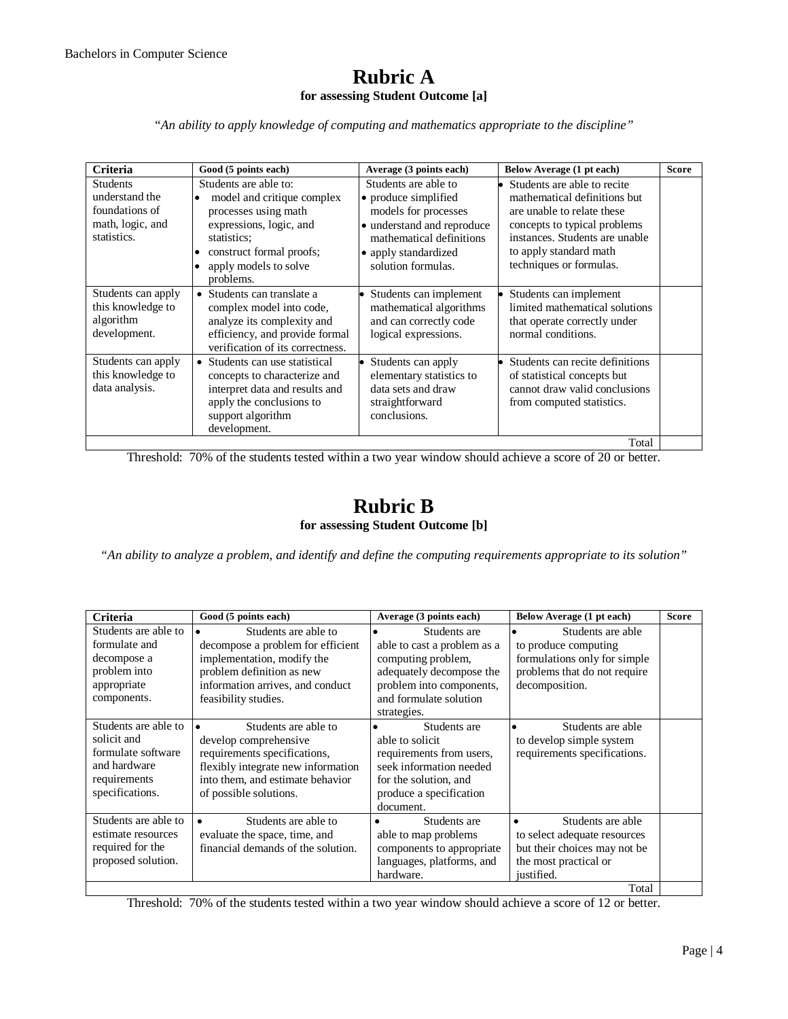#### **Rubric A for assessing Student Outcome [a]**

*"An ability to apply knowledge of computing and mathematics appropriate to the discipline"*

| <b>Criteria</b>                                                                        | Good (5 points each)                                                                                                                                                                                                           | Average (3 points each)                                                                                                                                                      | Below Average (1 pt each)                                                                                                                                                                                        | <b>Score</b> |
|----------------------------------------------------------------------------------------|--------------------------------------------------------------------------------------------------------------------------------------------------------------------------------------------------------------------------------|------------------------------------------------------------------------------------------------------------------------------------------------------------------------------|------------------------------------------------------------------------------------------------------------------------------------------------------------------------------------------------------------------|--------------|
| <b>Students</b><br>understand the<br>foundations of<br>math, logic, and<br>statistics. | Students are able to:<br>model and critique complex<br>$\bullet$<br>processes using math<br>expressions, logic, and<br>statistics:<br>construct formal proofs;<br>$\bullet$<br>apply models to solve<br>$\bullet$<br>problems. | Students are able to<br>• produce simplified<br>models for processes<br>· understand and reproduce<br>mathematical definitions<br>• apply standardized<br>solution formulas. | Students are able to recite<br>mathematical definitions but<br>are unable to relate these<br>concepts to typical problems<br>instances. Students are unable<br>to apply standard math<br>techniques or formulas. |              |
| Students can apply<br>this knowledge to<br>algorithm<br>development.                   | • Students can translate a<br>complex model into code,<br>analyze its complexity and<br>efficiency, and provide formal<br>verification of its correctness.                                                                     | Students can implement<br>mathematical algorithms<br>and can correctly code<br>logical expressions.                                                                          | Students can implement<br>limited mathematical solutions<br>that operate correctly under<br>normal conditions.                                                                                                   |              |
| Students can apply<br>this knowledge to<br>data analysis.                              | • Students can use statistical<br>concepts to characterize and<br>interpret data and results and<br>apply the conclusions to<br>support algorithm<br>development.                                                              | Students can apply<br>elementary statistics to<br>data sets and draw<br>straightforward<br>conclusions.                                                                      | Students can recite definitions<br>of statistical concepts but<br>cannot draw valid conclusions<br>from computed statistics.                                                                                     |              |
|                                                                                        |                                                                                                                                                                                                                                |                                                                                                                                                                              | Total                                                                                                                                                                                                            |              |

Threshold: 70% of the students tested within a two year window should achieve a score of 20 or better.

#### **Rubric B for assessing Student Outcome [b]**

*"An ability to analyze a problem, and identify and define the computing requirements appropriate to its solution"*

| Students are able to<br>$\bullet$<br>formulate and<br>decompose a<br>problem into<br>problem definition as new<br>appropriate<br>components.<br>feasibility studies.<br>Students are able to<br>solicit and<br>formulate software<br>and hardware<br>requirements<br>specifications.<br>of possible solutions. | Students are able to<br>decompose a problem for efficient<br>implementation, modify the                                                                 | Students are<br>able to cast a problem as a<br>computing problem,                                                                                                       | Students are able<br>to produce computing                                                                                |  |
|----------------------------------------------------------------------------------------------------------------------------------------------------------------------------------------------------------------------------------------------------------------------------------------------------------------|---------------------------------------------------------------------------------------------------------------------------------------------------------|-------------------------------------------------------------------------------------------------------------------------------------------------------------------------|--------------------------------------------------------------------------------------------------------------------------|--|
|                                                                                                                                                                                                                                                                                                                | information arrives, and conduct                                                                                                                        | adequately decompose the<br>problem into components,<br>and formulate solution                                                                                          | formulations only for simple<br>problems that do not require<br>decomposition.                                           |  |
|                                                                                                                                                                                                                                                                                                                | Students are able to<br>develop comprehensive<br>requirements specifications,<br>flexibly integrate new information<br>into them, and estimate behavior | strategies.<br>Students are<br>able to solicit.<br>requirements from users,<br>seek information needed<br>for the solution, and<br>produce a specification<br>document. | Students are able<br>to develop simple system<br>requirements specifications.                                            |  |
| Students are able to<br>estimate resources<br>required for the<br>proposed solution.                                                                                                                                                                                                                           | Students are able to<br>evaluate the space, time, and<br>financial demands of the solution.                                                             | Students are<br>able to map problems<br>components to appropriate<br>languages, platforms, and<br>hardware.                                                             | Students are able<br>to select adequate resources<br>but their choices may not be<br>the most practical or<br>justified. |  |

Threshold: 70% of the students tested within a two year window should achieve a score of 12 or better.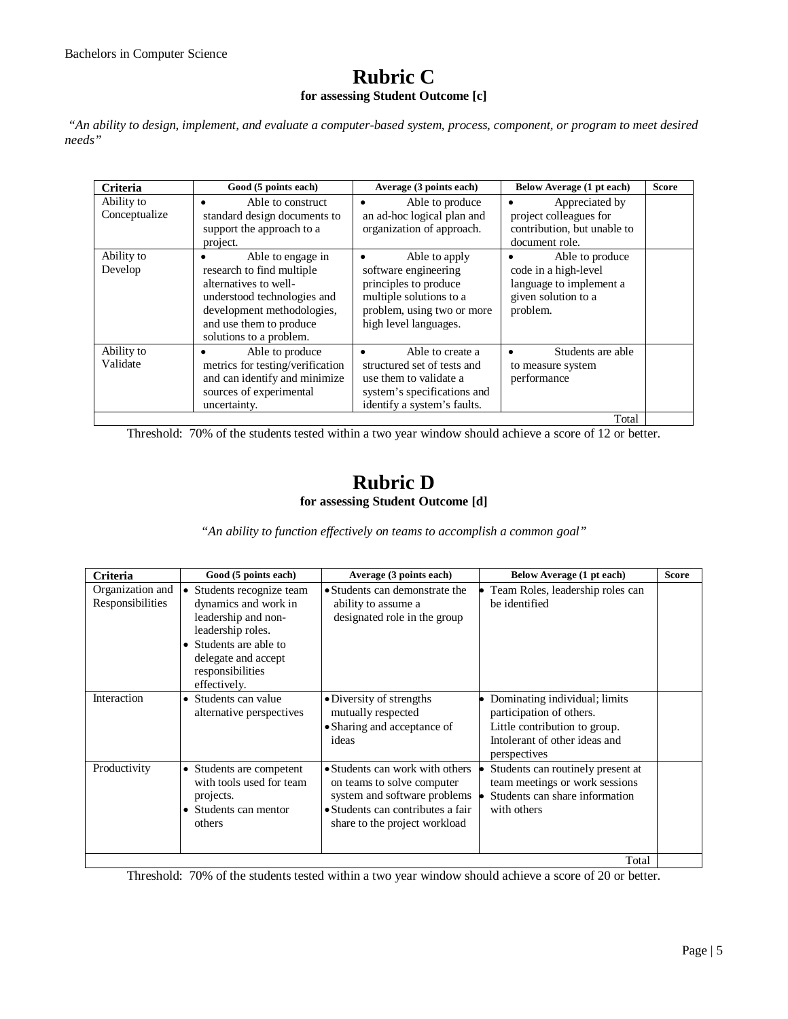### **Rubric C for assessing Student Outcome [c]**

*"An ability to design, implement, and evaluate a computer-based system, process, component, or program to meet desired needs"*

| <b>Criteria</b>             | Good (5 points each)                                                                                                                                                                       | Average (3 points each)                                                                                                                          | Below Average (1 pt each)                                                                             | <b>Score</b> |
|-----------------------------|--------------------------------------------------------------------------------------------------------------------------------------------------------------------------------------------|--------------------------------------------------------------------------------------------------------------------------------------------------|-------------------------------------------------------------------------------------------------------|--------------|
| Ability to<br>Conceptualize | Able to construct<br>٠<br>standard design documents to<br>support the approach to a<br>project.                                                                                            | Able to produce<br>٠<br>an ad-hoc logical plan and<br>organization of approach.                                                                  | Appreciated by<br>project colleagues for<br>contribution, but unable to<br>document role.             |              |
| Ability to<br>Develop       | Able to engage in<br>research to find multiple<br>alternatives to well-<br>understood technologies and<br>development methodologies,<br>and use them to produce<br>solutions to a problem. | Able to apply<br>software engineering<br>principles to produce<br>multiple solutions to a<br>problem, using two or more<br>high level languages. | Able to produce<br>code in a high-level<br>language to implement a<br>given solution to a<br>problem. |              |
| Ability to<br>Validate      | Able to produce<br>metrics for testing/verification<br>and can identify and minimize<br>sources of experimental<br>uncertainty.                                                            | Able to create a<br>٠<br>structured set of tests and<br>use them to validate a<br>system's specifications and<br>identify a system's faults.     | Students are able<br>to measure system<br>performance                                                 |              |
|                             |                                                                                                                                                                                            |                                                                                                                                                  | Total                                                                                                 |              |

Threshold: 70% of the students tested within a two year window should achieve a score of 12 or better.

### **Rubric D for assessing Student Outcome [d]**

*"An ability to function effectively on teams to accomplish a common goal"*

| Criteria                             | Good (5 points each)                                                                                                                                                                          | Average (3 points each)                                                                                                                                             | Below Average (1 pt each)                                                                                                                   | <b>Score</b> |
|--------------------------------------|-----------------------------------------------------------------------------------------------------------------------------------------------------------------------------------------------|---------------------------------------------------------------------------------------------------------------------------------------------------------------------|---------------------------------------------------------------------------------------------------------------------------------------------|--------------|
| Organization and<br>Responsibilities | Students recognize team<br>$\bullet$<br>dynamics and work in<br>leadership and non-<br>leadership roles.<br>• Students are able to<br>delegate and accept<br>responsibilities<br>effectively. | • Students can demonstrate the<br>ability to assume a<br>designated role in the group                                                                               | Team Roles, leadership roles can<br>be identified                                                                                           |              |
| Interaction                          | • Students can value<br>alternative perspectives                                                                                                                                              | • Diversity of strengths<br>mutually respected<br>• Sharing and acceptance of<br>ideas                                                                              | Dominating individual; limits<br>participation of others.<br>Little contribution to group.<br>Intolerant of other ideas and<br>perspectives |              |
| Productivity                         | • Students are competent<br>with tools used for team<br>projects.<br>• Students can mentor<br>others                                                                                          | • Students can work with others<br>on teams to solve computer<br>system and software problems<br>• Students can contributes a fair<br>share to the project workload | Students can routinely present at<br>team meetings or work sessions<br>Students can share information<br>with others                        |              |
|                                      |                                                                                                                                                                                               |                                                                                                                                                                     | Total                                                                                                                                       |              |

Threshold: 70% of the students tested within a two year window should achieve a score of 20 or better.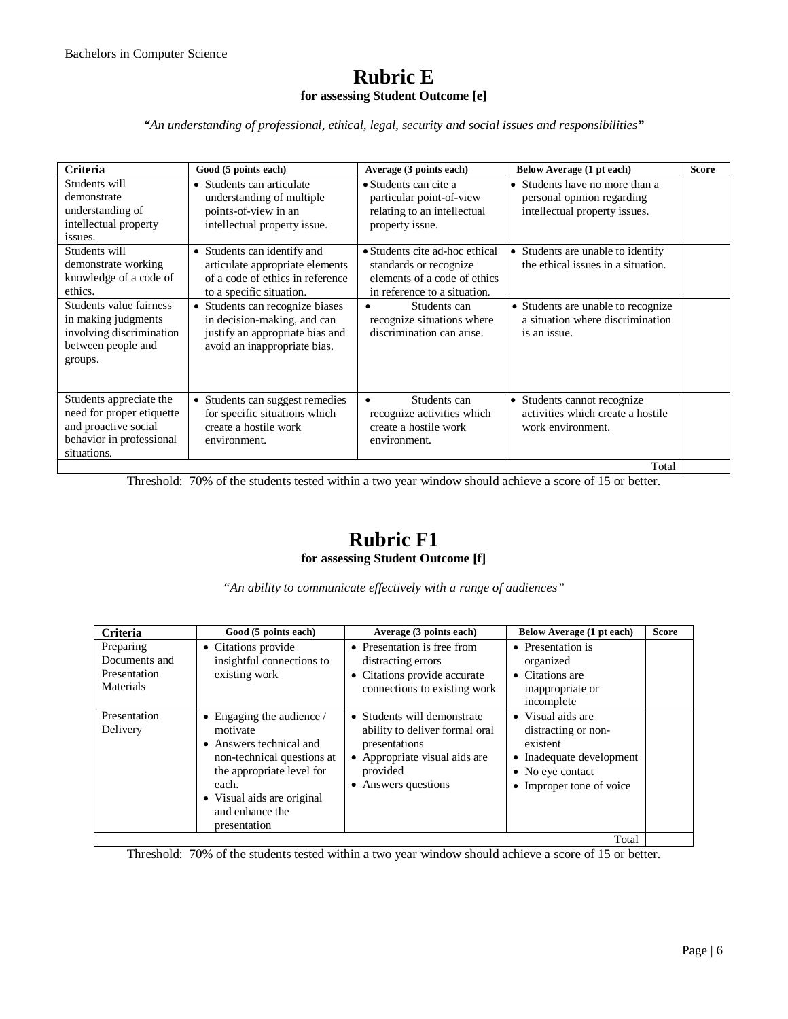### **Rubric E for assessing Student Outcome [e]**

*"An understanding of professional, ethical, legal, security and social issues and responsibilities"*

| <b>Criteria</b>                                                                                                         | Good (5 points each)                                                                                                              | Average (3 points each)                                                                                                  | Below Average (1 pt each)                                                                   | <b>Score</b> |
|-------------------------------------------------------------------------------------------------------------------------|-----------------------------------------------------------------------------------------------------------------------------------|--------------------------------------------------------------------------------------------------------------------------|---------------------------------------------------------------------------------------------|--------------|
| Students will<br>demonstrate<br>understanding of<br>intellectual property<br>issues.                                    | • Students can articulate<br>understanding of multiple<br>points-of-view in an<br>intellectual property issue.                    | $\bullet$ Students can cite a<br>particular point-of-view<br>relating to an intellectual<br>property issue.              | Students have no more than a<br>personal opinion regarding<br>intellectual property issues. |              |
| Students will<br>demonstrate working<br>knowledge of a code of<br>ethics.                                               | • Students can identify and<br>articulate appropriate elements<br>of a code of ethics in reference<br>to a specific situation.    | • Students cite ad-hoc ethical<br>standards or recognize<br>elements of a code of ethics<br>in reference to a situation. | Students are unable to identify<br>the ethical issues in a situation.                       |              |
| Students value fairness<br>in making judgments<br>involving discrimination<br>between people and<br>groups.             | • Students can recognize biases<br>in decision-making, and can<br>justify an appropriate bias and<br>avoid an inappropriate bias. | Students can<br>recognize situations where<br>discrimination can arise.                                                  | • Students are unable to recognize<br>a situation where discrimination<br>is an issue.      |              |
| Students appreciate the<br>need for proper etiquette<br>and proactive social<br>behavior in professional<br>situations. | • Students can suggest remedies<br>for specific situations which<br>create a hostile work<br>environment.                         | Students can<br>$\bullet$<br>recognize activities which<br>create a hostile work<br>environment.                         | Students cannot recognize<br>activities which create a hostile<br>work environment.         |              |
|                                                                                                                         |                                                                                                                                   |                                                                                                                          | Total                                                                                       |              |

Threshold: 70% of the students tested within a two year window should achieve a score of 15 or better.

### **Rubric F1 for assessing Student Outcome [f]**

*"An ability to communicate effectively with a range of audiences"*

| <b>Criteria</b>                                         | Good (5 points each)                                                                                                                                                                                       | Average (3 points each)                                                                                                                                       | Below Average (1 pt each)                                                                                                        | <b>Score</b> |
|---------------------------------------------------------|------------------------------------------------------------------------------------------------------------------------------------------------------------------------------------------------------------|---------------------------------------------------------------------------------------------------------------------------------------------------------------|----------------------------------------------------------------------------------------------------------------------------------|--------------|
| Preparing<br>Documents and<br>Presentation<br>Materials | • Citations provide<br>insightful connections to<br>existing work                                                                                                                                          | • Presentation is free from<br>distracting errors<br>• Citations provide accurate<br>connections to existing work                                             | • Presentation is<br>organized<br>$\bullet$ Citations are<br>inappropriate or<br>incomplete                                      |              |
| Presentation<br>Delivery                                | • Engaging the audience $\ell$<br>motivate<br>• Answers technical and<br>non-technical questions at<br>the appropriate level for<br>each.<br>• Visual aids are original<br>and enhance the<br>presentation | • Students will demonstrate<br>ability to deliver formal oral<br>presentations<br>Appropriate visual aids are<br>$\bullet$<br>provided<br>• Answers questions | • Visual aids are<br>distracting or non-<br>existent<br>• Inadequate development<br>• No eye contact<br>• Improper tone of voice |              |
|                                                         |                                                                                                                                                                                                            |                                                                                                                                                               | Total                                                                                                                            |              |

Threshold: 70% of the students tested within a two year window should achieve a score of 15 or better.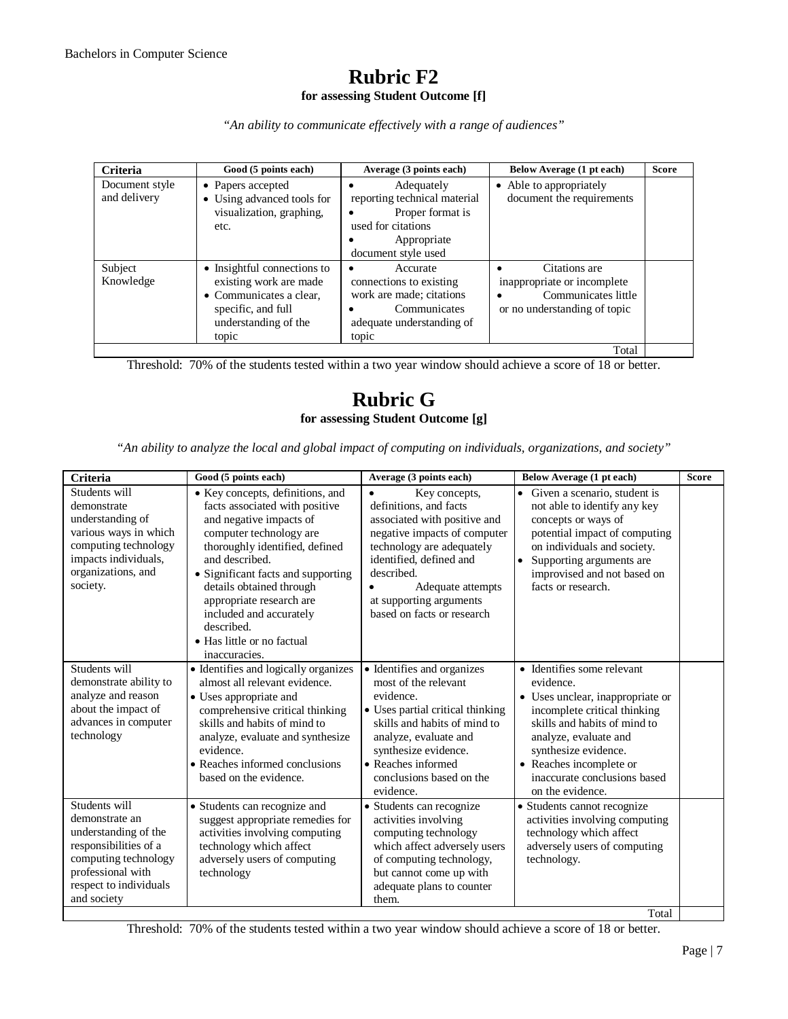### **Rubric F2 for assessing Student Outcome [f]**

*"An ability to communicate effectively with a range of audiences"*

| <b>Criteria</b>                | Good (5 points each)                                                                                                                    | Average (3 points each)                                                                                                    | Below Average (1 pt each)                                                                                                     | <b>Score</b> |
|--------------------------------|-----------------------------------------------------------------------------------------------------------------------------------------|----------------------------------------------------------------------------------------------------------------------------|-------------------------------------------------------------------------------------------------------------------------------|--------------|
| Document style<br>and delivery | • Papers accepted<br>• Using advanced tools for<br>visualization, graphing,<br>etc.                                                     | Adequately<br>reporting technical material<br>Proper format is<br>used for citations<br>Appropriate<br>document style used | • Able to appropriately<br>document the requirements                                                                          |              |
| Subject<br>Knowledge           | • Insightful connections to<br>existing work are made<br>• Communicates a clear,<br>specific, and full<br>understanding of the<br>topic | Accurate<br>connections to existing<br>work are made; citations<br>Communicates<br>adequate understanding of<br>topic      | Citations are<br>$\bullet$<br>inappropriate or incomplete<br>Communicates little<br>$\bullet$<br>or no understanding of topic |              |
|                                |                                                                                                                                         |                                                                                                                            | Total                                                                                                                         |              |

Threshold: 70% of the students tested within a two year window should achieve a score of 18 or better.

### **Rubric G for assessing Student Outcome [g]**

*"An ability to analyze the local and global impact of computing on individuals, organizations, and society"*

| Criteria                                                                                                                                                               | Good (5 points each)                                                                                                                                                                                                                                                                                                                                               | Average (3 points each)                                                                                                                                                                                                                                                  | Below Average (1 pt each)                                                                                                                                                                                                                                                   | <b>Score</b> |
|------------------------------------------------------------------------------------------------------------------------------------------------------------------------|--------------------------------------------------------------------------------------------------------------------------------------------------------------------------------------------------------------------------------------------------------------------------------------------------------------------------------------------------------------------|--------------------------------------------------------------------------------------------------------------------------------------------------------------------------------------------------------------------------------------------------------------------------|-----------------------------------------------------------------------------------------------------------------------------------------------------------------------------------------------------------------------------------------------------------------------------|--------------|
| Students will<br>demonstrate<br>understanding of<br>various ways in which<br>computing technology<br>impacts individuals,<br>organizations, and<br>society.            | • Key concepts, definitions, and<br>facts associated with positive<br>and negative impacts of<br>computer technology are<br>thoroughly identified, defined<br>and described.<br>• Significant facts and supporting<br>details obtained through<br>appropriate research are<br>included and accurately<br>described.<br>• Has little or no factual<br>inaccuracies. | Key concepts,<br>$\bullet$<br>definitions, and facts<br>associated with positive and<br>negative impacts of computer<br>technology are adequately<br>identified, defined and<br>described.<br>Adequate attempts<br>at supporting arguments<br>based on facts or research | Given a scenario, student is<br>$\bullet$<br>not able to identify any key<br>concepts or ways of<br>potential impact of computing<br>on individuals and society.<br>Supporting arguments are<br>improvised and not based on<br>facts or research.                           |              |
| Students will<br>demonstrate ability to<br>analyze and reason<br>about the impact of<br>advances in computer<br>technology                                             | • Identifies and logically organizes<br>almost all relevant evidence.<br>• Uses appropriate and<br>comprehensive critical thinking<br>skills and habits of mind to<br>analyze, evaluate and synthesize<br>evidence.<br>• Reaches informed conclusions<br>based on the evidence.                                                                                    | • Identifies and organizes<br>most of the relevant<br>evidence.<br>• Uses partial critical thinking<br>skills and habits of mind to<br>analyze, evaluate and<br>synthesize evidence.<br>$\bullet$ Reaches informed<br>conclusions based on the<br>evidence.              | • Identifies some relevant<br>evidence.<br>• Uses unclear, inappropriate or<br>incomplete critical thinking<br>skills and habits of mind to<br>analyze, evaluate and<br>synthesize evidence.<br>• Reaches incomplete or<br>inaccurate conclusions based<br>on the evidence. |              |
| Students will<br>demonstrate an<br>understanding of the<br>responsibilities of a<br>computing technology<br>professional with<br>respect to individuals<br>and society | • Students can recognize and<br>suggest appropriate remedies for<br>activities involving computing<br>technology which affect<br>adversely users of computing<br>technology                                                                                                                                                                                        | • Students can recognize<br>activities involving<br>computing technology<br>which affect adversely users<br>of computing technology,<br>but cannot come up with<br>adequate plans to counter<br>them.                                                                    | • Students cannot recognize<br>activities involving computing<br>technology which affect<br>adversely users of computing<br>technology.<br>Total                                                                                                                            |              |

Threshold: 70% of the students tested within a two year window should achieve a score of 18 or better.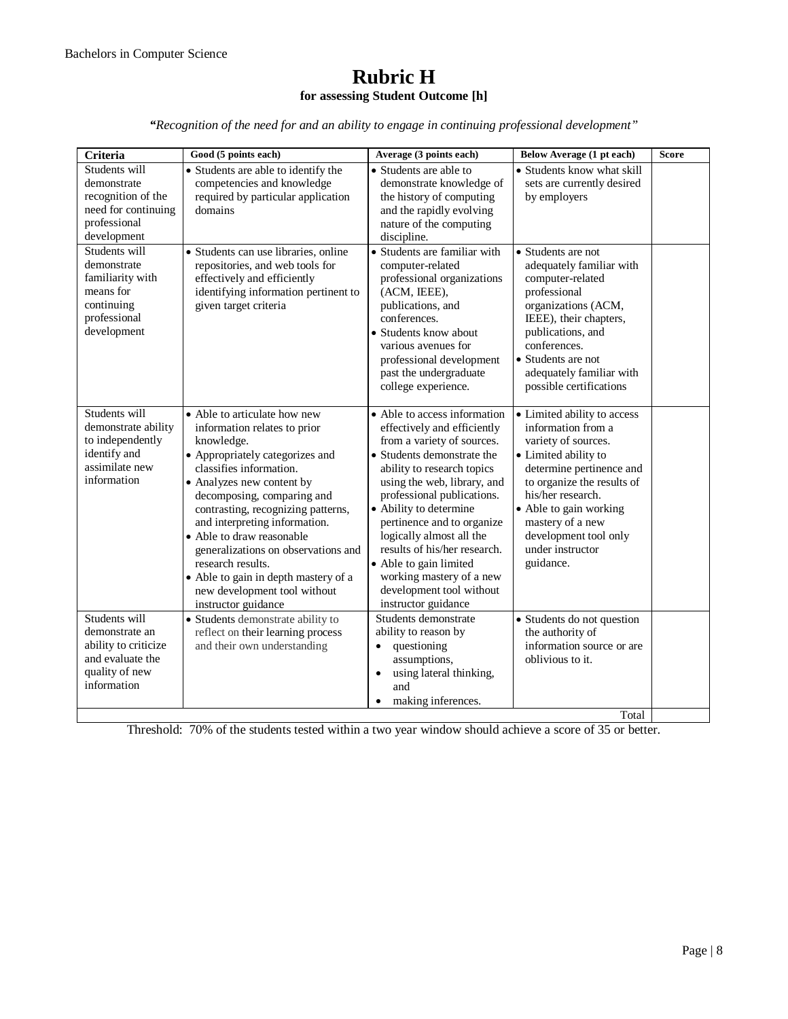### **Rubric H for assessing Student Outcome [h]**

*"Recognition of the need for and an ability to engage in continuing professional development"*

| Students will<br>• Students are able to identify the<br>• Students are able to<br>competencies and knowledge<br>demonstrate<br>recognition of the<br>required by particular application<br>need for continuing<br>domains<br>professional<br>development<br>discipline.<br>Students will<br>· Students can use libraries, online<br>demonstrate<br>repositories, and web tools for<br>computer-related<br>familiarity with<br>effectively and efficiently<br>identifying information pertinent to<br>means for<br>(ACM, IEEE),<br>continuing<br>given target criteria<br>publications, and<br>professional<br>conferences.<br>development<br>• Students know about<br>various avenues for<br>past the undergraduate<br>college experience.<br>Students will<br>• Able to articulate how new<br>demonstrate ability<br>information relates to prior<br>to independently<br>knowledge.<br>identify and<br>• Appropriately categorizes and<br>assimilate new<br>classifies information.<br>information<br>• Analyzes new content by<br>decomposing, comparing and<br>• Ability to determine<br>contrasting, recognizing patterns,<br>and interpreting information.<br>logically almost all the<br>• Able to draw reasonable<br>generalizations on observations and<br>research results.<br>• Able to gain limited<br>• Able to gain in depth mastery of a<br>new development tool without<br>instructor guidance<br>instructor guidance<br>Students will<br>Students demonstrate<br>• Students demonstrate ability to<br>ability to reason by<br>demonstrate an<br>reflect on their learning process<br>ability to criticize<br>and their own understanding<br>questioning<br>$\bullet$ | Below Average (1 pt each)<br>Average (3 points each)                                                                                                                                                                                                                                                                                                                                                                                                                                                                                                                                                                                | <b>Score</b> |
|--------------------------------------------------------------------------------------------------------------------------------------------------------------------------------------------------------------------------------------------------------------------------------------------------------------------------------------------------------------------------------------------------------------------------------------------------------------------------------------------------------------------------------------------------------------------------------------------------------------------------------------------------------------------------------------------------------------------------------------------------------------------------------------------------------------------------------------------------------------------------------------------------------------------------------------------------------------------------------------------------------------------------------------------------------------------------------------------------------------------------------------------------------------------------------------------------------------------------------------------------------------------------------------------------------------------------------------------------------------------------------------------------------------------------------------------------------------------------------------------------------------------------------------------------------------------------------------------------------------------------------------------------------------------------------------|-------------------------------------------------------------------------------------------------------------------------------------------------------------------------------------------------------------------------------------------------------------------------------------------------------------------------------------------------------------------------------------------------------------------------------------------------------------------------------------------------------------------------------------------------------------------------------------------------------------------------------------|--------------|
|                                                                                                                                                                                                                                                                                                                                                                                                                                                                                                                                                                                                                                                                                                                                                                                                                                                                                                                                                                                                                                                                                                                                                                                                                                                                                                                                                                                                                                                                                                                                                                                                                                                                                      | • Students know what skill<br>demonstrate knowledge of<br>sets are currently desired<br>the history of computing<br>by employers<br>and the rapidly evolving<br>nature of the computing                                                                                                                                                                                                                                                                                                                                                                                                                                             |              |
|                                                                                                                                                                                                                                                                                                                                                                                                                                                                                                                                                                                                                                                                                                                                                                                                                                                                                                                                                                                                                                                                                                                                                                                                                                                                                                                                                                                                                                                                                                                                                                                                                                                                                      | • Students are familiar with<br>• Students are not<br>adequately familiar with<br>professional organizations<br>computer-related<br>professional<br>organizations (ACM,<br>IEEE), their chapters,<br>publications, and<br>conferences.<br>professional development<br>• Students are not<br>adequately familiar with<br>possible certifications                                                                                                                                                                                                                                                                                     |              |
|                                                                                                                                                                                                                                                                                                                                                                                                                                                                                                                                                                                                                                                                                                                                                                                                                                                                                                                                                                                                                                                                                                                                                                                                                                                                                                                                                                                                                                                                                                                                                                                                                                                                                      | • Able to access information<br>• Limited ability to access<br>effectively and efficiently<br>information from a<br>from a variety of sources.<br>variety of sources.<br>• Students demonstrate the<br>• Limited ability to<br>ability to research topics<br>determine pertinence and<br>to organize the results of<br>using the web, library, and<br>his/her research.<br>professional publications.<br>• Able to gain working<br>pertinence and to organize<br>mastery of a new<br>development tool only<br>results of his/her research.<br>under instructor<br>guidance.<br>working mastery of a new<br>development tool without |              |
| and evaluate the<br>assumptions,<br>quality of new<br>$\bullet$<br>information<br>and                                                                                                                                                                                                                                                                                                                                                                                                                                                                                                                                                                                                                                                                                                                                                                                                                                                                                                                                                                                                                                                                                                                                                                                                                                                                                                                                                                                                                                                                                                                                                                                                | • Students do not question<br>the authority of<br>information source or are<br>oblivious to it.<br>using lateral thinking,<br>making inferences.<br>Total                                                                                                                                                                                                                                                                                                                                                                                                                                                                           |              |

Threshold: 70% of the students tested within a two year window should achieve a score of 35 or better.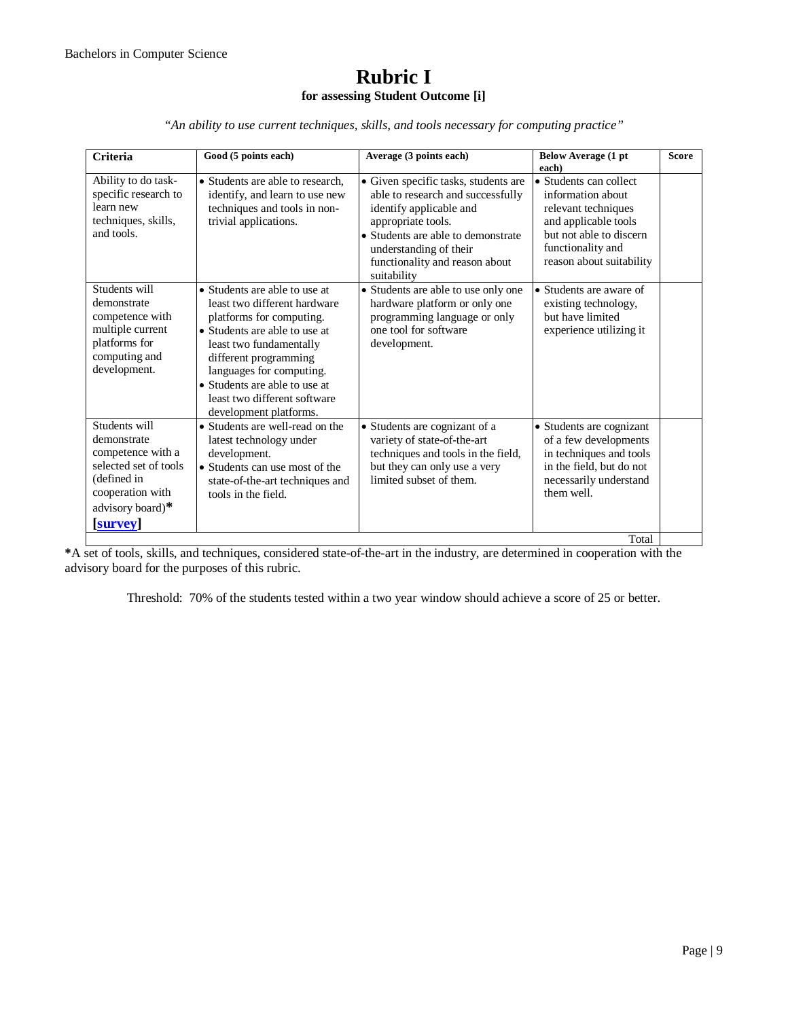#### **Rubric I for assessing Student Outcome [i]**

*"An ability to use current techniques, skills, and tools necessary for computing practice"*

| <b>Criteria</b>                                                                                                                                    | Good (5 points each)                                                                                                                                                                                                                                                                                  | Average (3 points each)                                                                                                                                                                                                                     | <b>Below Average (1 pt</b><br>each)                                                                                                                                    | <b>Score</b> |
|----------------------------------------------------------------------------------------------------------------------------------------------------|-------------------------------------------------------------------------------------------------------------------------------------------------------------------------------------------------------------------------------------------------------------------------------------------------------|---------------------------------------------------------------------------------------------------------------------------------------------------------------------------------------------------------------------------------------------|------------------------------------------------------------------------------------------------------------------------------------------------------------------------|--------------|
| Ability to do task-<br>specific research to<br>learn new<br>techniques, skills,<br>and tools.                                                      | • Students are able to research.<br>identify, and learn to use new<br>techniques and tools in non-<br>trivial applications.                                                                                                                                                                           | • Given specific tasks, students are<br>able to research and successfully<br>identify applicable and<br>appropriate tools.<br>• Students are able to demonstrate<br>understanding of their<br>functionality and reason about<br>suitability | • Students can collect<br>information about<br>relevant techniques<br>and applicable tools<br>but not able to discern<br>functionality and<br>reason about suitability |              |
| Students will<br>demonstrate<br>competence with<br>multiple current<br>platforms for<br>computing and<br>development.                              | • Students are able to use at<br>least two different hardware<br>platforms for computing.<br>• Students are able to use at<br>least two fundamentally<br>different programming<br>languages for computing.<br>• Students are able to use at<br>least two different software<br>development platforms. | • Students are able to use only one<br>hardware platform or only one<br>programming language or only<br>one tool for software<br>development.                                                                                               | • Students are aware of<br>existing technology,<br>but have limited<br>experience utilizing it                                                                         |              |
| Students will<br>demonstrate<br>competence with a<br>selected set of tools<br>(defined in<br>cooperation with<br>advisory board)*<br><b>survey</b> | • Students are well-read on the<br>latest technology under<br>development.<br>• Students can use most of the<br>state-of-the-art techniques and<br>tools in the field.                                                                                                                                | • Students are cognizant of a<br>variety of state-of-the-art<br>techniques and tools in the field,<br>but they can only use a very<br>limited subset of them.                                                                               | • Students are cognizant<br>of a few developments<br>in techniques and tools<br>in the field, but do not<br>necessarily understand<br>them well.<br>Total              |              |

**\***A set of tools, skills, and techniques, considered state-of-the-art in the industry, are determined in cooperation with the advisory board for the purposes of this rubric.

Threshold: 70% of the students tested within a two year window should achieve a score of 25 or better.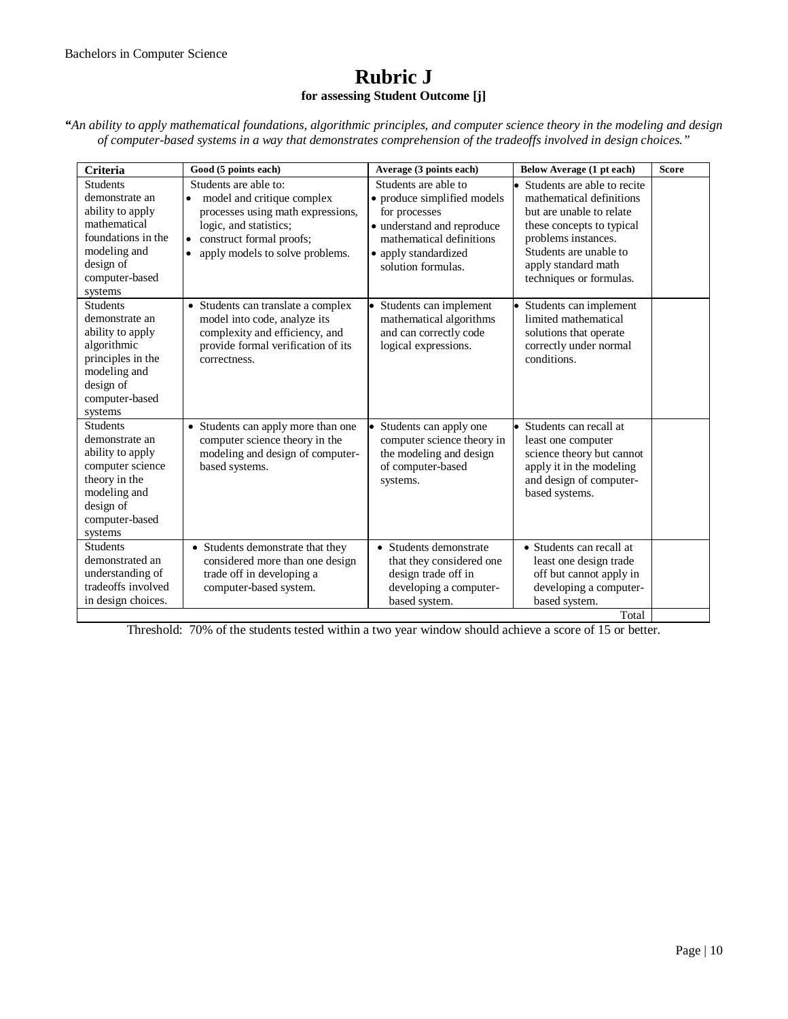### **Rubric J for assessing Student Outcome [j]**

*"An ability to apply mathematical foundations, algorithmic principles, and computer science theory in the modeling and design of computer-based systems in a way that demonstrates comprehension of the tradeoffs involved in design choices."*

| Criteria                                                                                                                                              | Good (5 points each)                                                                                                                                                                                        | Average (3 points each)                                                                                                                                                      | Below Average (1 pt each)                                                                                                                                                                                             | <b>Score</b> |
|-------------------------------------------------------------------------------------------------------------------------------------------------------|-------------------------------------------------------------------------------------------------------------------------------------------------------------------------------------------------------------|------------------------------------------------------------------------------------------------------------------------------------------------------------------------------|-----------------------------------------------------------------------------------------------------------------------------------------------------------------------------------------------------------------------|--------------|
| <b>Students</b><br>demonstrate an<br>ability to apply<br>mathematical<br>foundations in the<br>modeling and<br>design of<br>computer-based<br>systems | Students are able to:<br>model and critique complex<br>$\bullet$<br>processes using math expressions,<br>logic, and statistics;<br>construct formal proofs;<br>apply models to solve problems.<br>$\bullet$ | Students are able to<br>• produce simplified models<br>for processes<br>• understand and reproduce<br>mathematical definitions<br>• apply standardized<br>solution formulas. | • Students are able to recite<br>mathematical definitions<br>but are unable to relate<br>these concepts to typical<br>problems instances.<br>Students are unable to<br>apply standard math<br>techniques or formulas. |              |
| <b>Students</b><br>demonstrate an<br>ability to apply<br>algorithmic<br>principles in the<br>modeling and<br>design of<br>computer-based<br>systems   | • Students can translate a complex<br>model into code, analyze its<br>complexity and efficiency, and<br>provide formal verification of its<br>correctness.                                                  | • Students can implement<br>mathematical algorithms<br>and can correctly code<br>logical expressions.                                                                        | • Students can implement<br>limited mathematical<br>solutions that operate<br>correctly under normal<br>conditions.                                                                                                   |              |
| <b>Students</b><br>demonstrate an<br>ability to apply<br>computer science<br>theory in the<br>modeling and<br>design of<br>computer-based<br>systems  | • Students can apply more than one<br>computer science theory in the<br>modeling and design of computer-<br>based systems.                                                                                  | • Students can apply one<br>computer science theory in<br>the modeling and design<br>of computer-based<br>systems.                                                           | • Students can recall at<br>least one computer<br>science theory but cannot<br>apply it in the modeling<br>and design of computer-<br>based systems.                                                                  |              |
| <b>Students</b><br>demonstrated an<br>understanding of<br>tradeoffs involved<br>in design choices.                                                    | • Students demonstrate that they<br>considered more than one design<br>trade off in developing a<br>computer-based system.                                                                                  | • Students demonstrate<br>that they considered one<br>design trade off in<br>developing a computer-<br>based system.                                                         | • Students can recall at<br>least one design trade<br>off but cannot apply in<br>developing a computer-<br>based system.<br>Total                                                                                     |              |

Threshold: 70% of the students tested within a two year window should achieve a score of 15 or better.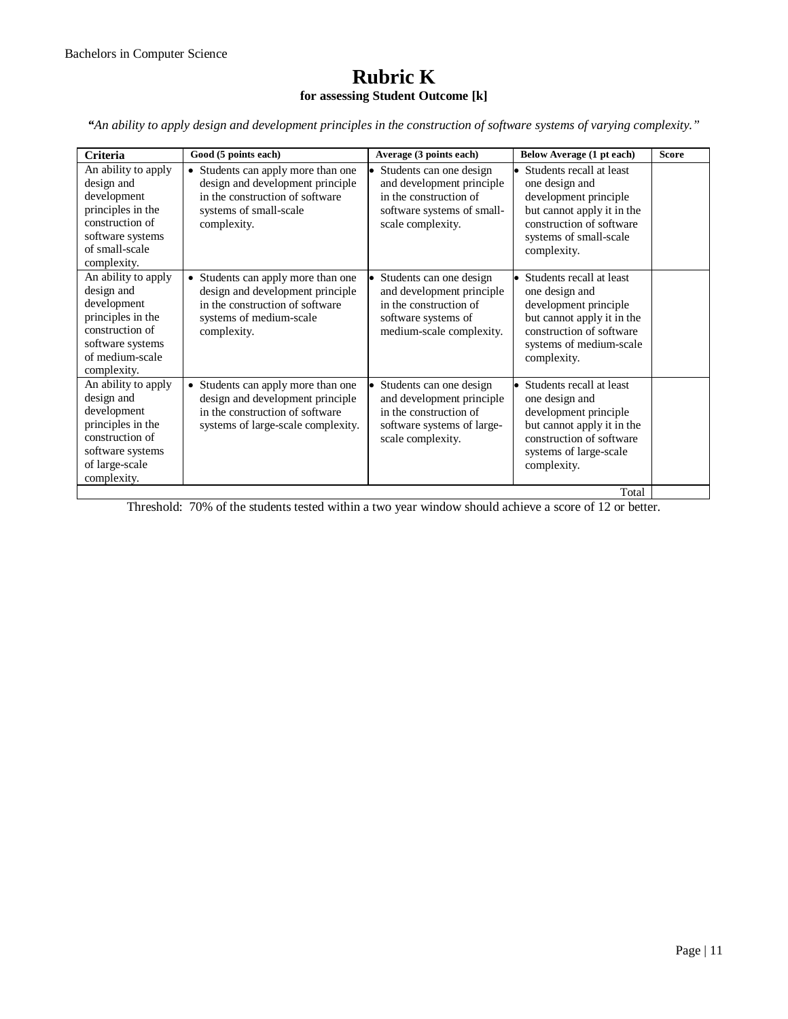### **Rubric K for assessing Student Outcome [k]**

*"An ability to apply design and development principles in the construction of software systems of varying complexity."*

| <b>Criteria</b>                                                                                                                                | Good (5 points each)                                                                                                                                | Average (3 points each)                                                                                                           | Below Average (1 pt each)                                                                                                                                                 | <b>Score</b> |
|------------------------------------------------------------------------------------------------------------------------------------------------|-----------------------------------------------------------------------------------------------------------------------------------------------------|-----------------------------------------------------------------------------------------------------------------------------------|---------------------------------------------------------------------------------------------------------------------------------------------------------------------------|--------------|
| An ability to apply<br>design and<br>development<br>principles in the<br>construction of<br>software systems<br>of small-scale<br>complexity.  | • Students can apply more than one<br>design and development principle<br>in the construction of software<br>systems of small-scale<br>complexity.  | Students can one design<br>and development principle<br>in the construction of<br>software systems of small-<br>scale complexity. | • Students recall at least<br>one design and<br>development principle<br>but cannot apply it in the<br>construction of software<br>systems of small-scale<br>complexity.  |              |
| An ability to apply<br>design and<br>development<br>principles in the<br>construction of<br>software systems<br>of medium-scale<br>complexity. | • Students can apply more than one<br>design and development principle<br>in the construction of software<br>systems of medium-scale<br>complexity. | Students can one design<br>and development principle<br>in the construction of<br>software systems of<br>medium-scale complexity. | • Students recall at least<br>one design and<br>development principle<br>but cannot apply it in the<br>construction of software<br>systems of medium-scale<br>complexity. |              |
| An ability to apply<br>design and<br>development<br>principles in the<br>construction of<br>software systems<br>of large-scale<br>complexity.  | • Students can apply more than one<br>design and development principle<br>in the construction of software<br>systems of large-scale complexity.     | Students can one design<br>and development principle<br>in the construction of<br>software systems of large-<br>scale complexity. | • Students recall at least<br>one design and<br>development principle<br>but cannot apply it in the<br>construction of software<br>systems of large-scale<br>complexity.  |              |
|                                                                                                                                                |                                                                                                                                                     |                                                                                                                                   | Total                                                                                                                                                                     |              |

Threshold: 70% of the students tested within a two year window should achieve a score of 12 or better.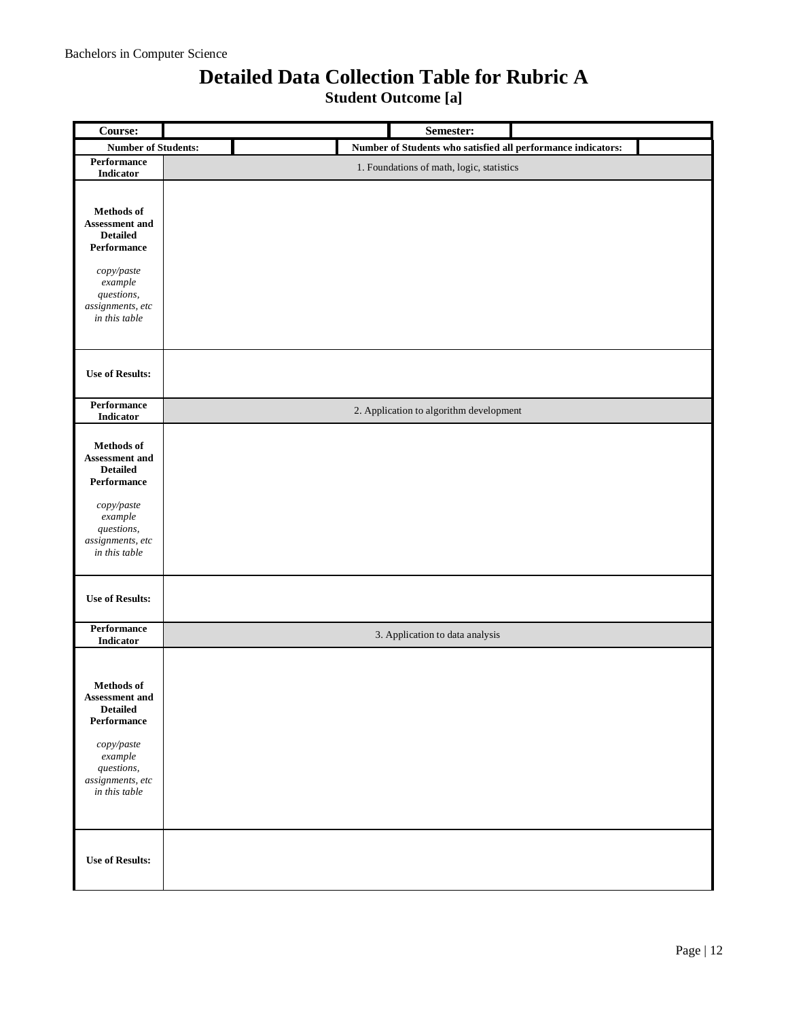## **Detailed Data Collection Table for Rubric A**

**Student Outcome [a]**

| Course:                                  | Semester:                                                    |
|------------------------------------------|--------------------------------------------------------------|
| <b>Number of Students:</b>               | Number of Students who satisfied all performance indicators: |
| Performance                              | 1. Foundations of math, logic, statistics                    |
| Indicator                                |                                                              |
|                                          |                                                              |
| Methods of                               |                                                              |
| Assessment and                           |                                                              |
| <b>Detailed</b>                          |                                                              |
| Performance                              |                                                              |
| copy/paste                               |                                                              |
| example                                  |                                                              |
| questions,<br>assignments, etc           |                                                              |
| in this table                            |                                                              |
|                                          |                                                              |
|                                          |                                                              |
|                                          |                                                              |
| <b>Use of Results:</b>                   |                                                              |
| Performance                              |                                                              |
| Indicator                                | 2. Application to algorithm development                      |
|                                          |                                                              |
| Methods of<br>Assessment and             |                                                              |
| <b>Detailed</b>                          |                                                              |
| Performance                              |                                                              |
|                                          |                                                              |
| copy/paste<br>example                    |                                                              |
| questions,                               |                                                              |
| assignments, etc<br>in this table        |                                                              |
|                                          |                                                              |
|                                          |                                                              |
| <b>Use of Results:</b>                   |                                                              |
|                                          |                                                              |
| Performance<br>Indicator                 | 3. Application to data analysis                              |
|                                          |                                                              |
|                                          |                                                              |
| <b>Methods</b> of                        |                                                              |
| <b>Assessment and</b><br><b>Detailed</b> |                                                              |
| Performance                              |                                                              |
|                                          |                                                              |
| copy/paste<br>example                    |                                                              |
| questions,                               |                                                              |
| assignments, etc                         |                                                              |
| in this table                            |                                                              |
|                                          |                                                              |
|                                          |                                                              |
|                                          |                                                              |
| <b>Use of Results:</b>                   |                                                              |
|                                          |                                                              |
|                                          |                                                              |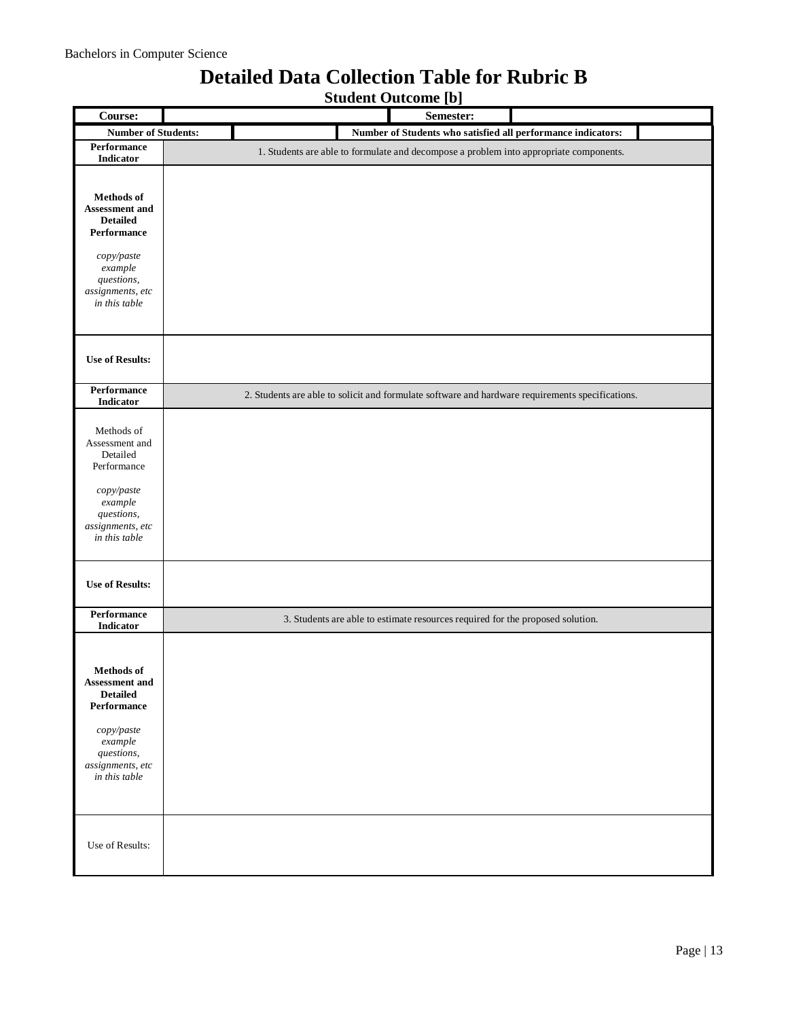## **Detailed Data Collection Table for Rubric B**

**Student Outcome [b]**

| Course:                                                                                                                                                  | Drugent Outcome [9]<br>Semester:                                                                 |
|----------------------------------------------------------------------------------------------------------------------------------------------------------|--------------------------------------------------------------------------------------------------|
| <b>Number of Students:</b>                                                                                                                               | Number of Students who satisfied all performance indicators:                                     |
| Performance                                                                                                                                              |                                                                                                  |
| Indicator                                                                                                                                                | 1. Students are able to formulate and decompose a problem into appropriate components.           |
| Methods of<br><b>Assessment and</b><br><b>Detailed</b><br>Performance<br>copy/paste<br>example<br>questions,<br>assignments, etc<br>in this table        |                                                                                                  |
| <b>Use of Results:</b>                                                                                                                                   |                                                                                                  |
| Performance<br>Indicator                                                                                                                                 | 2. Students are able to solicit and formulate software and hardware requirements specifications. |
| Methods of<br>Assessment and<br>Detailed<br>Performance<br>copy/paste<br>example<br>questions,<br>assignments, etc<br>in this table                      |                                                                                                  |
| <b>Use of Results:</b>                                                                                                                                   |                                                                                                  |
| Performance<br>Indicator                                                                                                                                 | 3. Students are able to estimate resources required for the proposed solution.                   |
| <b>Methods</b> of<br><b>Assessment and</b><br><b>Detailed</b><br>Performance<br>copy/paste<br>example<br>questions,<br>assignments, etc<br>in this table |                                                                                                  |
| Use of Results:                                                                                                                                          |                                                                                                  |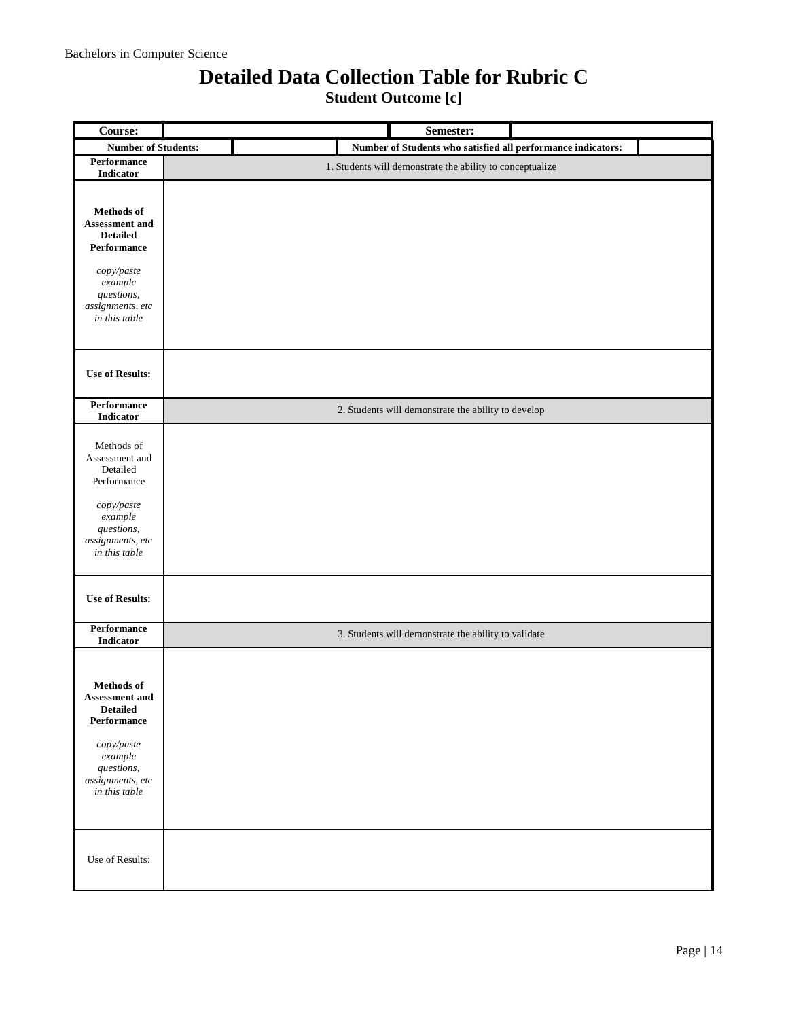### **Detailed Data Collection Table for Rubric C**

**Student Outcome [c]**

| Course:                                                                                                                                                  | Semester:                                                    |  |
|----------------------------------------------------------------------------------------------------------------------------------------------------------|--------------------------------------------------------------|--|
| <b>Number of Students:</b>                                                                                                                               | Number of Students who satisfied all performance indicators: |  |
| Performance<br>Indicator                                                                                                                                 | 1. Students will demonstrate the ability to conceptualize    |  |
| <b>Methods</b> of<br>Assessment and<br><b>Detailed</b><br>Performance<br>copy/paste<br>example<br>questions,<br>assignments, etc<br>in this table        |                                                              |  |
| <b>Use of Results:</b>                                                                                                                                   |                                                              |  |
| Performance<br>Indicator                                                                                                                                 | 2. Students will demonstrate the ability to develop          |  |
| Methods of<br>Assessment and<br>Detailed<br>Performance<br>copy/paste<br>example<br>questions,<br>assignments, etc<br>in this table                      |                                                              |  |
| <b>Use of Results:</b>                                                                                                                                   |                                                              |  |
| Performance<br>Indicator                                                                                                                                 | 3. Students will demonstrate the ability to validate         |  |
| <b>Methods</b> of<br><b>Assessment and</b><br><b>Detailed</b><br>Performance<br>copy/paste<br>example<br>questions,<br>assignments, etc<br>in this table |                                                              |  |
| Use of Results:                                                                                                                                          |                                                              |  |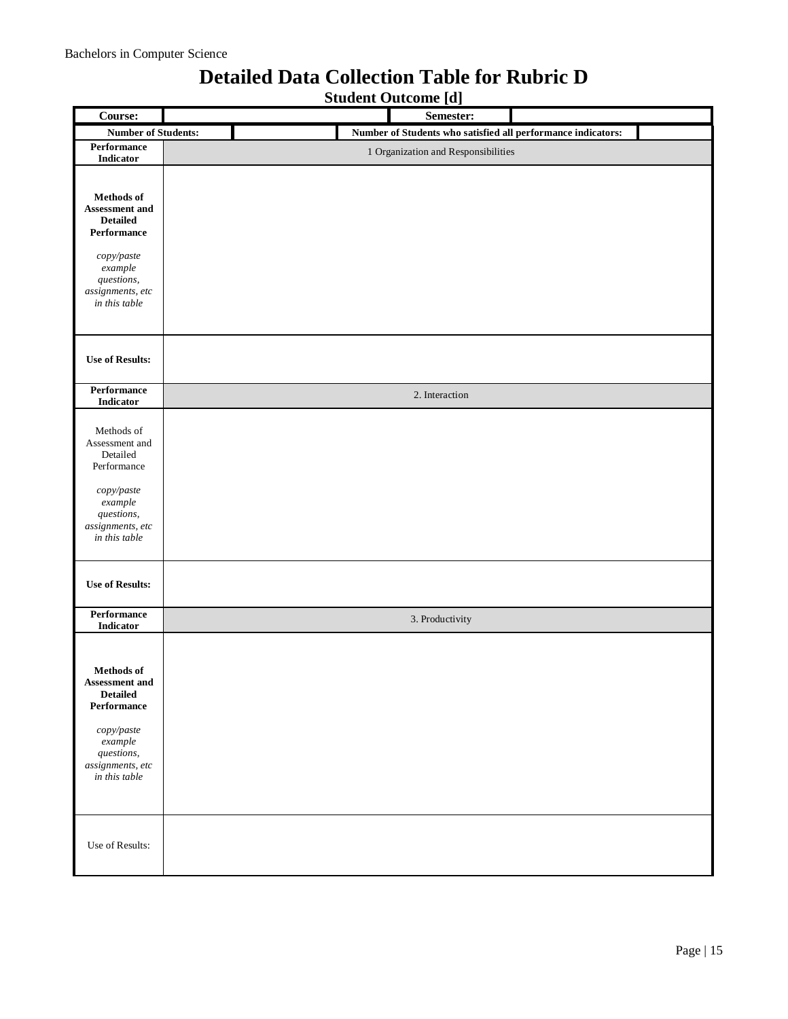### **Detailed Data Collection Table for Rubric D**

**Student Outcome [d]**

| Course:                                                                                                                                                    | bruucht outcome [u]<br>Semester:                             |
|------------------------------------------------------------------------------------------------------------------------------------------------------------|--------------------------------------------------------------|
| <b>Number of Students:</b>                                                                                                                                 | Number of Students who satisfied all performance indicators: |
| Performance                                                                                                                                                | 1 Organization and Responsibilities                          |
| Indicator                                                                                                                                                  |                                                              |
| Methods of<br><b>Assessment and</b><br><b>Detailed</b><br>Performance<br>copy/paste                                                                        |                                                              |
| example<br>questions,<br>assignments, etc<br>in this table                                                                                                 |                                                              |
| <b>Use of Results:</b>                                                                                                                                     |                                                              |
| Performance<br>Indicator                                                                                                                                   | 2. Interaction                                               |
| Methods of<br>Assessment and<br>Detailed<br>Performance<br>copy/paste<br>example<br>questions,<br>assignments, etc<br>in this table                        |                                                              |
| <b>Use of Results:</b>                                                                                                                                     |                                                              |
| Performance<br>Indicator                                                                                                                                   | 3. Productivity                                              |
| Methods of<br><b>Assessment and</b><br><b>Detailed</b><br>Performance<br>copy/paste<br>$\emph{example}$<br>questions,<br>assignments, etc<br>in this table |                                                              |
| Use of Results:                                                                                                                                            |                                                              |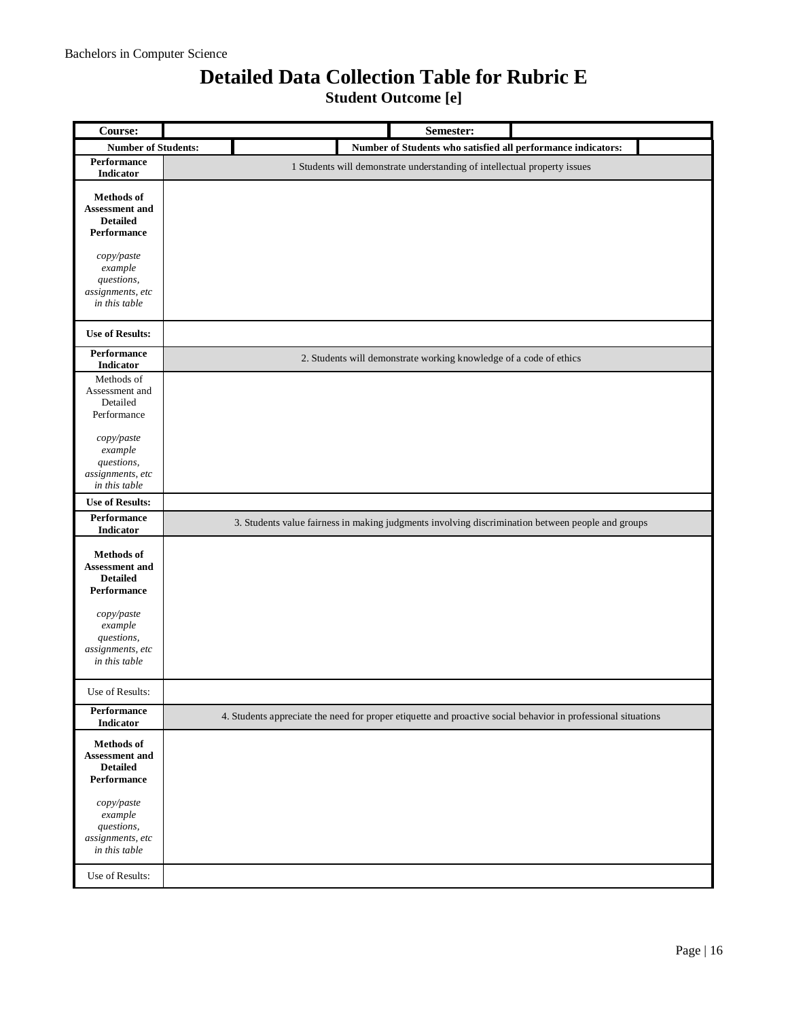## **Detailed Data Collection Table for Rubric E**

**Student Outcome [e]**

| Course:                                                                      | Semester:                                                                                                     |
|------------------------------------------------------------------------------|---------------------------------------------------------------------------------------------------------------|
| <b>Number of Students:</b>                                                   | Number of Students who satisfied all performance indicators:                                                  |
| <b>Performance</b><br><b>Indicator</b>                                       | 1 Students will demonstrate understanding of intellectual property issues                                     |
| <b>Methods</b> of<br><b>Assessment and</b><br><b>Detailed</b><br>Performance |                                                                                                               |
| copy/paste<br>example<br>questions,<br>assignments, etc<br>in this table     |                                                                                                               |
| <b>Use of Results:</b>                                                       |                                                                                                               |
| Performance<br>Indicator                                                     | 2. Students will demonstrate working knowledge of a code of ethics                                            |
| Methods of<br>Assessment and<br>Detailed<br>Performance                      |                                                                                                               |
| copy/paste<br>example<br>questions,<br>assignments, etc<br>in this table     |                                                                                                               |
| <b>Use of Results:</b>                                                       |                                                                                                               |
| <b>Performance</b><br><b>Indicator</b>                                       | 3. Students value fairness in making judgments involving discrimination between people and groups             |
| <b>Methods</b> of<br>Assessment and<br><b>Detailed</b><br>Performance        |                                                                                                               |
| copy/paste<br>example<br>questions,<br>assignments, etc<br>in this table     |                                                                                                               |
| Use of Results:                                                              |                                                                                                               |
| Performance<br>Indicator                                                     | 4. Students appreciate the need for proper etiquette and proactive social behavior in professional situations |
| Methods of<br><b>Assessment</b> and<br><b>Detailed</b><br>Performance        |                                                                                                               |
| copy/paste<br>example<br>questions,<br>assignments, etc<br>in this table     |                                                                                                               |
| Use of Results:                                                              |                                                                                                               |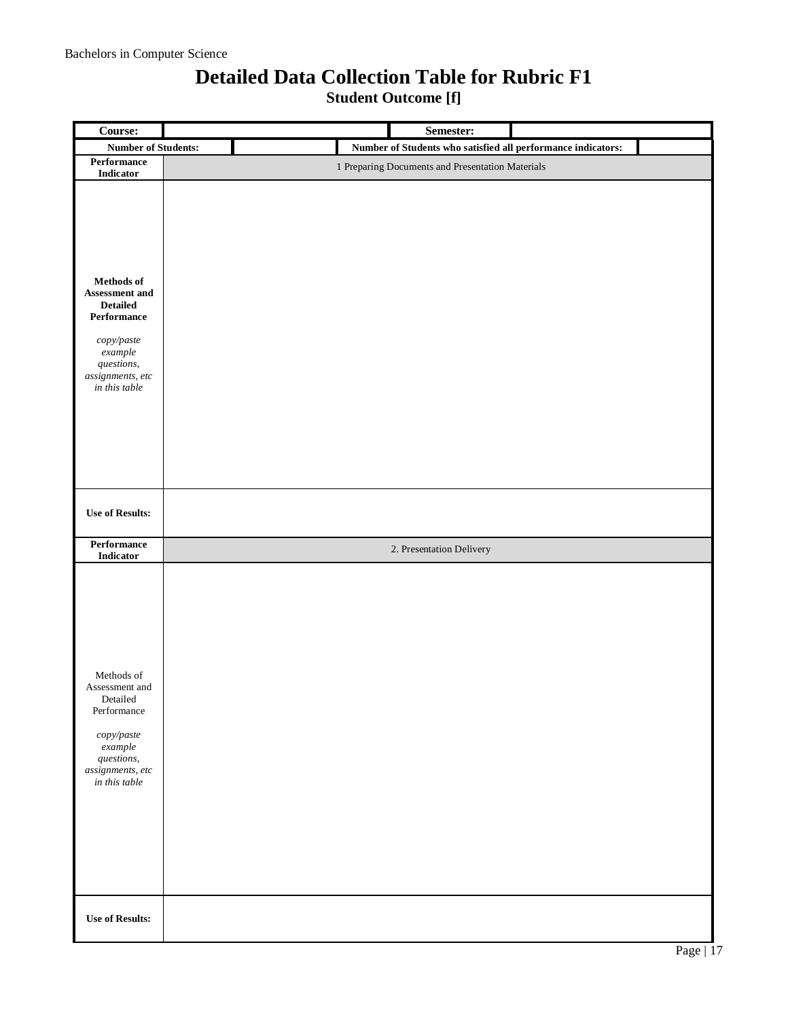### **Detailed Data Collection Table for Rubric F1**

**Student Outcome [f]**

| Course:                                                                                                                                      | Semester:                                                    |
|----------------------------------------------------------------------------------------------------------------------------------------------|--------------------------------------------------------------|
| <b>Number of Students:</b>                                                                                                                   | Number of Students who satisfied all performance indicators: |
| Performance<br>Indicator                                                                                                                     | 1 Preparing Documents and Presentation Materials             |
| Methods of<br>Assessment and<br><b>Detailed</b><br>Performance<br>copy/paste<br>$example$<br>questions,<br>assignments, etc<br>in this table |                                                              |
| <b>Use of Results:</b>                                                                                                                       |                                                              |
| Performance<br>Indicator                                                                                                                     | 2. Presentation Delivery                                     |
| Methods of<br>Assessment and<br>Detailed<br>Performance<br>copy/paste<br>$\emph{example}$<br>questions,<br>assignments, etc<br>in this table |                                                              |
| <b>Use of Results:</b>                                                                                                                       |                                                              |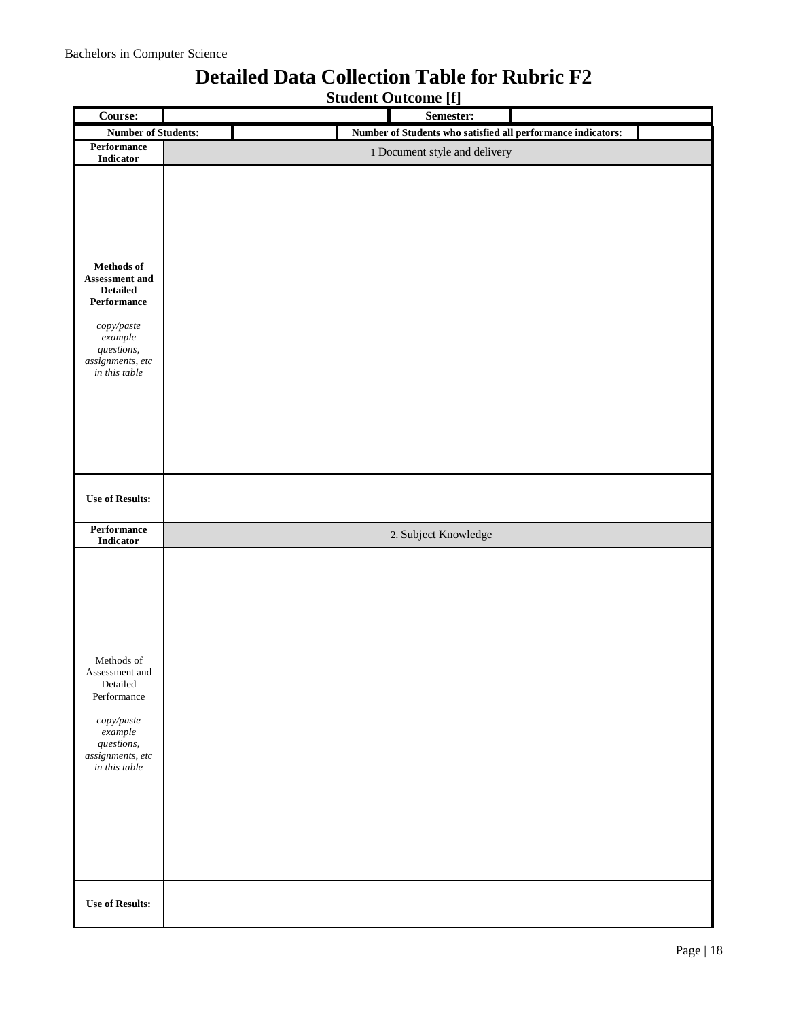## **Student Outcome [f] Course: Semester: Number of Students: Number of Students who satisfied all performance indicators: Performance 1** Document style and delivery **Methods of Assessment and Detailed Performance** *copy/paste example questions, assignments, etc in this table* **Use of Results: Performance**  2. Subject Knowledge Methods of Assessment and Detailed Performance *copy/paste example questions, assignments, etc in this table* **Use of Results:**

### **Detailed Data Collection Table for Rubric F2**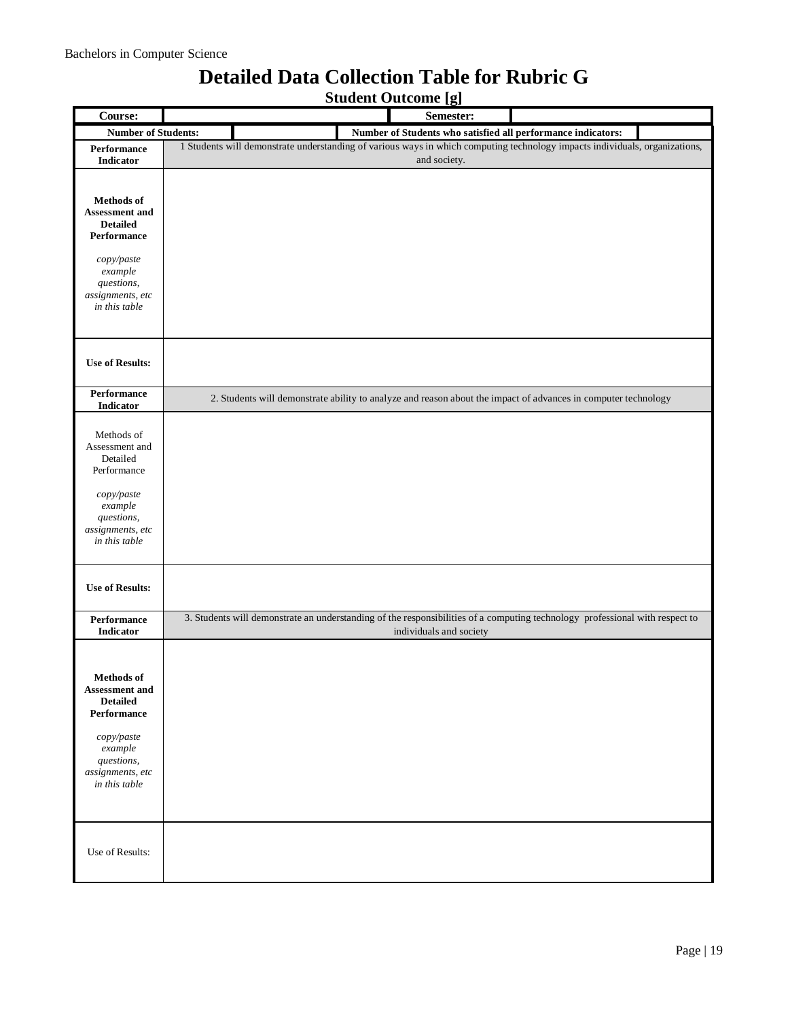#### **Student Outcome [g] Course: Semester: Number of Students: Number of Students who satisfied all performance indicators: Performance Indicator** 1 Students will demonstrate understanding of various ways in which computing technology impacts individuals, organizations, and society. **Methods of Assessment and Detailed Performance** *copy/paste example questions, assignments, etc in this table* **Use of Results: Performance Indicator** 2. Students will demonstrate ability to analyze and reason about the impact of advances in computer technology Methods of Assessment and Detailed Performance *copy/paste example questions, assignments, etc in this table* **Use of Results: Performance Indicator** 3. Students will demonstrate an understanding of the responsibilities of a computing technology professional with respect to individuals and society **Methods of Assessment and Detailed Performance** *copy/paste example questions, assignments, etc in this table* Use of Results:

### **Detailed Data Collection Table for Rubric G**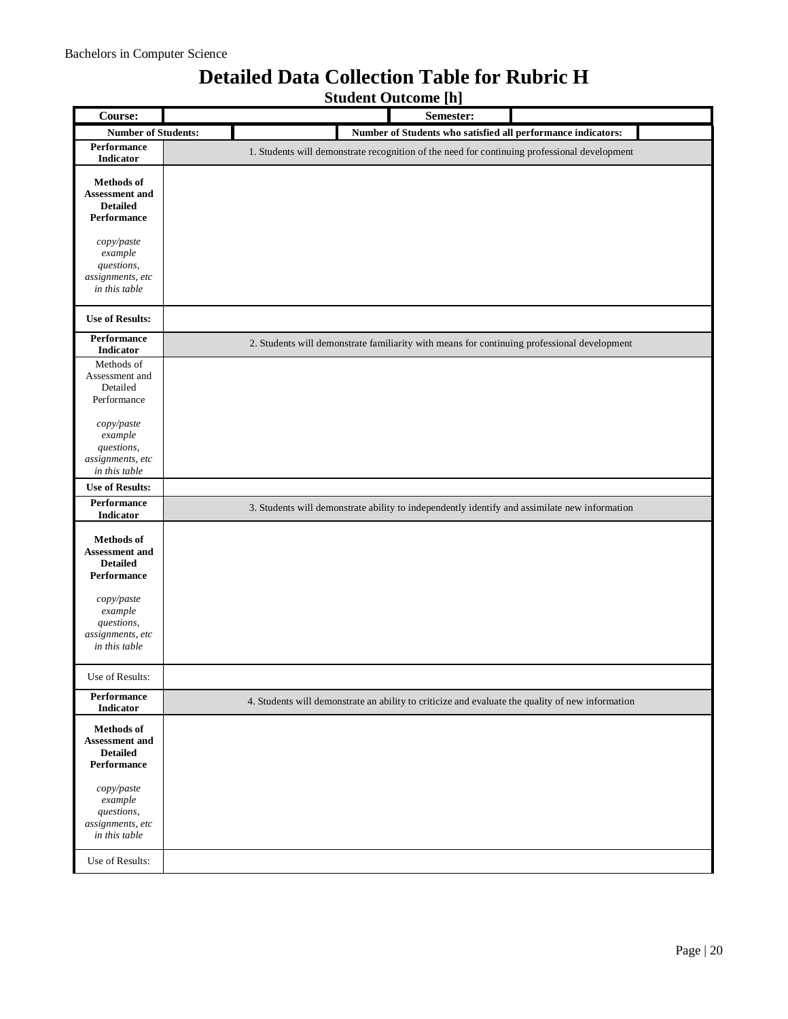### **Detailed Data Collection Table for Rubric H**

**Student Outcome [h]**

| Course:                                                                      | omment outcome [n]<br>Semester:                                                                  |
|------------------------------------------------------------------------------|--------------------------------------------------------------------------------------------------|
|                                                                              |                                                                                                  |
| <b>Number of Students:</b>                                                   | Number of Students who satisfied all performance indicators:                                     |
| Performance<br><b>Indicator</b>                                              | 1. Students will demonstrate recognition of the need for continuing professional development     |
| <b>Methods</b> of<br>Assessment and<br><b>Detailed</b><br>Performance        |                                                                                                  |
| copy/paste<br>example<br>questions,<br>assignments, etc<br>in this table     |                                                                                                  |
| <b>Use of Results:</b>                                                       |                                                                                                  |
| Performance<br><b>Indicator</b>                                              | 2. Students will demonstrate familiarity with means for continuing professional development      |
| Methods of<br>Assessment and<br>Detailed<br>Performance                      |                                                                                                  |
| copy/paste<br>example<br>questions,<br>assignments, etc<br>in this table     |                                                                                                  |
| <b>Use of Results:</b>                                                       |                                                                                                  |
| <b>Performance</b><br>Indicator                                              | 3. Students will demonstrate ability to independently identify and assimilate new information    |
| <b>Methods</b> of<br>Assessment and<br><b>Detailed</b><br>Performance        |                                                                                                  |
| copy/paste<br>$example$<br>questions,<br>assignments, etc<br>in this table   |                                                                                                  |
| Use of Results:                                                              |                                                                                                  |
| Performance<br><b>Indicator</b>                                              | 4. Students will demonstrate an ability to criticize and evaluate the quality of new information |
| <b>Methods</b> of<br><b>Assessment and</b><br><b>Detailed</b><br>Performance |                                                                                                  |
| copy/paste<br>example<br>questions,<br>assignments, etc<br>in this table     |                                                                                                  |
| Use of Results:                                                              |                                                                                                  |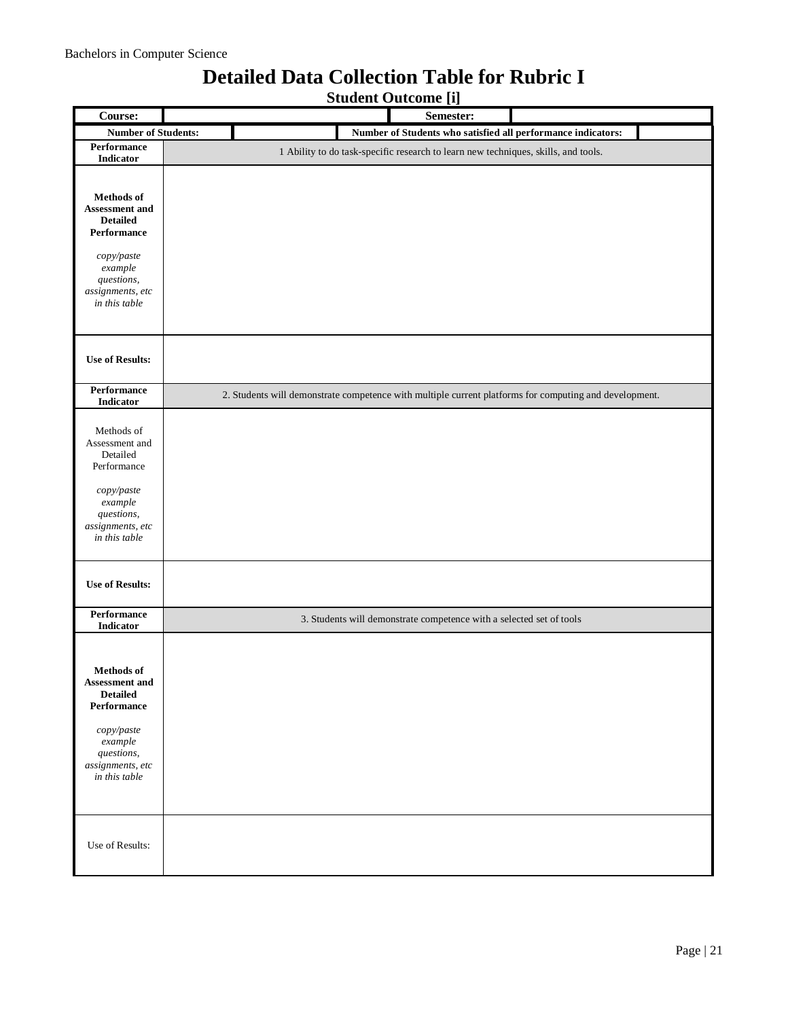## **Detailed Data Collection Table for Rubric I**

**Student Outcome [i]**

| Course:                                                                                                                                                                    | <b>LTJ</b><br>Semester:                                                                                |
|----------------------------------------------------------------------------------------------------------------------------------------------------------------------------|--------------------------------------------------------------------------------------------------------|
| <b>Number of Students:</b>                                                                                                                                                 | Number of Students who satisfied all performance indicators:                                           |
| Performance<br>Indicator                                                                                                                                                   | 1 Ability to do task-specific research to learn new techniques, skills, and tools.                     |
| Methods of<br>Assessment and<br><b>Detailed</b><br>Performance<br>$\operatorname{copy}/\operatorname{paste}$<br>example<br>questions,<br>assignments, etc<br>in this table |                                                                                                        |
| <b>Use of Results:</b>                                                                                                                                                     |                                                                                                        |
| Performance<br><b>Indicator</b>                                                                                                                                            | 2. Students will demonstrate competence with multiple current platforms for computing and development. |
| Methods of<br>Assessment and<br>Detailed<br>Performance<br>copy/paste<br>example<br>questions,<br>assignments, etc<br>in this table                                        |                                                                                                        |
| <b>Use of Results:</b>                                                                                                                                                     |                                                                                                        |
| Performance<br>Indicator                                                                                                                                                   | 3. Students will demonstrate competence with a selected set of tools                                   |
| <b>Methods</b> of<br><b>Assessment and</b><br><b>Detailed</b><br>Performance<br>copy/paste<br>example<br>questions,<br>assignments, etc<br>in this table                   |                                                                                                        |
| Use of Results:                                                                                                                                                            |                                                                                                        |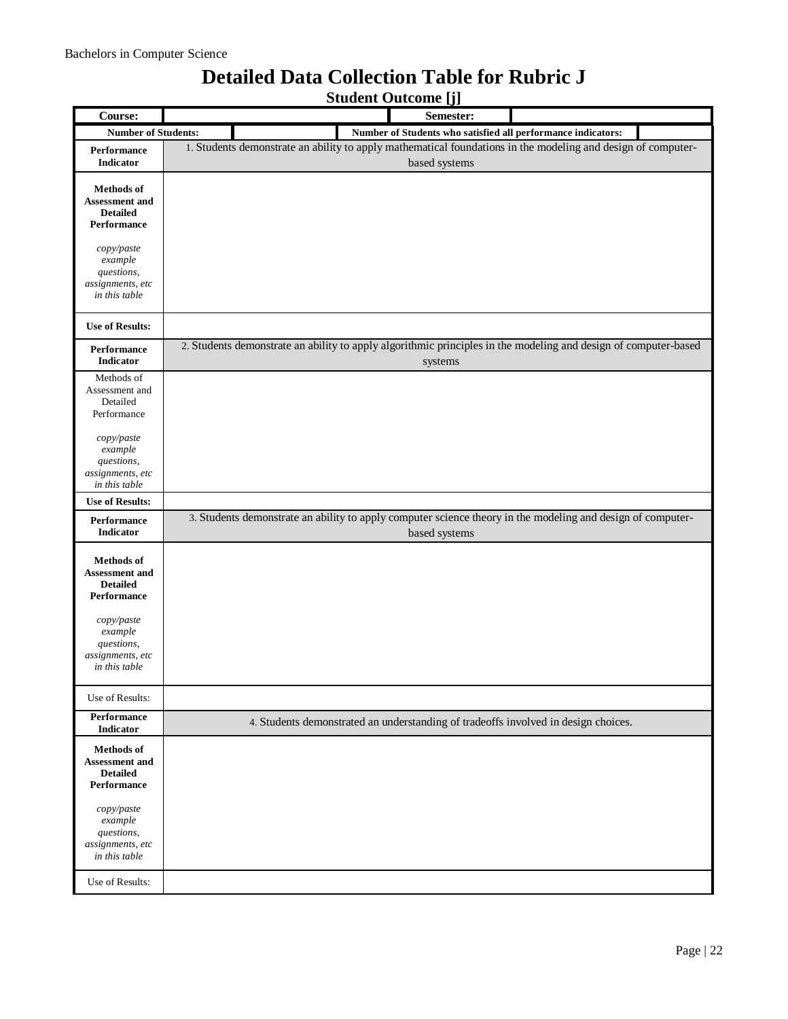#### **Student Outcome [j] Course: Semester: Number of Students: Number of Students who satisfied all performance indicators: Performance Indicator** 1. Students demonstrate an ability to apply mathematical foundations in the modeling and design of computerbased systems **Methods of Assessment and Detailed Performance** *copy/paste example questions, assignments, etc in this table* **Use of Results: Performance Indicator** 2. Students demonstrate an ability to apply algorithmic principles in the modeling and design of computer-based systems Methods of Assessment and Detailed Performance *copy/paste example questions, assignments, etc in this table* **Use of Results: Performance Indicator** 3. Students demonstrate an ability to apply computer science theory in the modeling and design of computerbased systems **Methods of Assessment and Detailed Performance** *copy/paste example questions, assignments, etc in this table* Use of Results: **Performance Indicator** 4. Students demonstrated an understanding of tradeoffs involved in design choices. **Methods of Assessment and Detailed Performance** *copy/paste example questions, assignments, etc in this table* Use of Results:

### **Detailed Data Collection Table for Rubric J**